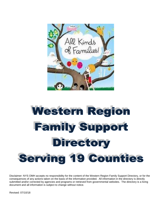

# Western Region **Family Support Directory Serving 19 Counties**

Disclaimer: NYS OMH accepts no responsibility for the content of the Western Region Family Support Directory, or for the consequences of any actions taken on the basis of the information provided. All information in the directory is directly submitted and/or corrected by agencies and programs or retrieved from governmental websites. The directory is a living document and all information is subject to change without notice.

Revised: 07/10/18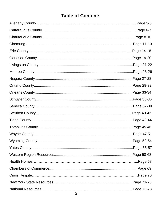# **Table of Contents**

| Page 6-7    |
|-------------|
| Page 8-10   |
| Page 11-13  |
| Page 14-18  |
| Page 19-20  |
| Page 21-22. |
| Page 23-26  |
| Page 27-28  |
| Page 29-32  |
| Page 33-34  |
| Page 35-36. |
| Page 37-39  |
| Page 40-42  |
| Page 43-44  |
| Page 45-46  |
| Page 47-51  |
|             |
|             |
|             |
|             |
|             |
|             |
|             |
|             |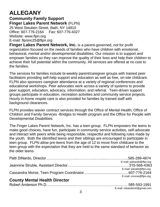# **ALLEGANY**

**Community Family Support Finger Lakes Parent Network** (FLPN) 25 West Steuben Street, Bath, NY 14810 Office: 607-776-2164 Fax: 607-776-4327 Website: [www.flpn.org](http://www.flpn.org/) E-mail: [flpninc25@flpn.org](mailto:flpninc25@flpn.org)

**Finger Lakes Parent Network, Inc.** is a parent-governed, not for profit organization focused on the needs of families who have children with emotional, behavioral, mental and/or developmental disabilities. Our mission is to support and empower families so they can improve the quality of their lives and help their children to achieve their full potential within the community. All services are offered at no cost to the families.

The services for families include bi-weekly parent/caregiver groups with trained peer facilitators providing self-help support and education as well as free, on-site childcare. FLPN also sponsors caregiver attendance at a variety of regional conferences and educational workshops. Peer advocates work across a variety of systems to provide peer support, education, advocacy, information, and referral. Teen-driven support groups participate in education, recreation activities and community service projects. Hourly in-home respite care is also provided for families by trained staff with background clearances.

FLPN provides wavier contract services through the Office of Mental Health, Office of Children and Family Services -Bridges to Health program and the Office for People with Developmental Disabilities.

The Finger Lakes Parent Network, Inc. has a teen group. FLPN empowers the teens to make good choices, have fun, participate in community service activities, self-advocate and interact with peers while being responsible, respectful and following rules made by the youth. Both the identified teens and their siblings are encouraged to participate in teen group. FLPN allow pre-teens from the age of 12 to move from childcare to the teen group with the expectation that they are held to the same standard of behavior as the older teens.

|                                      | E-mail: pdinardo@flpn.org |
|--------------------------------------|---------------------------|
|                                      | E-mail: jstruble@flpn.org |
|                                      | E-mail: cmorse@flpn.org   |
| <b>County Mental Health Director</b> |                           |
|                                      |                           |

E-mail: robanders6@gmail.com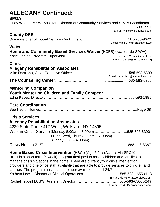# **ALLEGANY Continued: SPOA** Lindy White, LMSW, Assistant Director of Community Services and SPOA Coordinator

…………………………………………………………….…………….…………585-593-1991 E-mail: whitell@alleganyco.com

# **County DSS**

Commissioner of Social Services Vicki Grant,..…….……….….……………585-268-9622 E-mail: Vick[i.Grant@dfa.state.ny.us](mailto:Grant@dfa.state.ny.us)

#### **Waiver**

| Home and Community Based Services Waiver (HCBS) (Access via SPOA) |                                 |
|-------------------------------------------------------------------|---------------------------------|
|                                                                   |                                 |
|                                                                   | E-mail: kcaruso@rehabcenter.org |

#### **Clinic**

### **Allegany Rehabilitation Associates**

| E-mail: mdamiano@araservices.com |
|----------------------------------|
|                                  |

### **Mentoring/Companion**

| <b>Youth Mentoring Children and Family Compeer</b> |  |
|----------------------------------------------------|--|
|                                                    |  |

### **Care Coordination**

See Health Homes……………………………………………………………………..Page 68

#### **Crisis Services**

#### **Allegany Rehabilitation Associates**

4220 State Route 417 West, Wellsville, NY 14895 Walk in Crisis Service (Monday 8:00am - 5:00pm..……………………..585-593-6300 (Tues, Wed, Thurs 8:00am – 7:00pm) (Friday 8:00 – 4:00pm)

Crisis Hotline 24/7 …………………………………………………………1-888-448-3367

**Home Based Crisis Intervention** (HBCI) (Age 5-21) (Access via SPOA) HBCI is a short term (6 week) program designed to assist children and families to manage crisis situations in the home. There are currently two crisis intervention providers and one office staff available that are able to provide services to children and families. The program has a staff member available on call 24/7. Kathryn Lewis, Director of Clinical Operations…………………..……..585-593-1655 x113 E-mail: klewis@araservices.com Rachel Trudell LCSW, Assistant Director….…………………….……..585-593-6300 x249 E-mail: rtrudell@araservices.com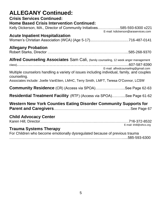| <b>ALLEGANY Continued:</b><br><b>Crisis Services Continued:</b><br><b>Home Based Crisis Intervention Continued:</b><br>Kelly Dickerson, MA., Director of Community Initiatives585-593-6300 x221<br>E-mail: kdickerson@araservices.com  |
|----------------------------------------------------------------------------------------------------------------------------------------------------------------------------------------------------------------------------------------|
| <b>Acute Inpatient Hospitalization</b>                                                                                                                                                                                                 |
| <b>Allegany Probation</b>                                                                                                                                                                                                              |
| Alfred Counseling Associates Sam Cali, (family counseling, 12 week anger management                                                                                                                                                    |
| E-mail: alfredcounseling@gmail.com<br>Multiple counselors handling a variety of issues including individual, family, and couples<br>counseling.<br>Associates include: Joelle VanEtten, LMHC, Terry Smith, LMFT, Teresa O'Connor, LCSW |
| <b>Community Residence</b> (CR) (Access via SPOA)See Page 62-63                                                                                                                                                                        |
| <b>Residential Treatment Facility</b> (RTF) (Access via SPOA)See Page 61-62                                                                                                                                                            |
| Western New York Counties Eating Disorder Community Supports for                                                                                                                                                                       |
| <b>Child Advocacy Center</b><br>E-mail: khill@sthcs.org                                                                                                                                                                                |
| <b>Trauma Systems Therapy</b><br>For Children who become emotionally dysregulated because of previous trauma                                                                                                                           |
|                                                                                                                                                                                                                                        |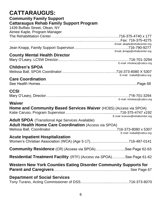| <b>CATTARAUGUS:</b><br><b>Community Family Support</b><br><b>Cattaraugus Rehab Family Support Program</b><br>1439 Buffalo Street, Olean, NY<br>Aimee Kaple, Program Manager |                                 |
|-----------------------------------------------------------------------------------------------------------------------------------------------------------------------------|---------------------------------|
|                                                                                                                                                                             | Email: akaple@rehabcenter.org   |
|                                                                                                                                                                             | Email: jknapp@rehabcenter.org   |
| <b>County Mental Health Director</b>                                                                                                                                        |                                 |
| <b>Children's SPOA</b>                                                                                                                                                      | E-mail: mholeary@cattco.org     |
| <b>Care Coordination</b>                                                                                                                                                    | E-mail: maball@cattco.org       |
|                                                                                                                                                                             |                                 |
| <b>CCSI</b>                                                                                                                                                                 |                                 |
| <b>Waiver</b><br><b>Home and Community Based Services Waiver (HCBS) (Access via SPOA)</b>                                                                                   | E-mail: mholeary@cattco.org     |
| <b>Adult SPOA</b> (Transitional Age Services Available)<br><b>Adult Health Home Care Coordination (Access via SPOA)</b>                                                     | E-mail: kcaruso@rehabcenter.org |
|                                                                                                                                                                             | E-mail: maball@cattco.org       |
| <b>Acute Inpatient Hospitalization</b>                                                                                                                                      |                                 |
| <b>Community Residence</b> (CR) (Access via SPOA)See Page 62-63                                                                                                             |                                 |
| <b>Residential Treatment Facility</b> (RTF) (Access via SPOA)See Page 61-62                                                                                                 |                                 |
| Western New York Counties Eating Disorder Community Supports for                                                                                                            |                                 |
| <b>Department of Social Services</b>                                                                                                                                        |                                 |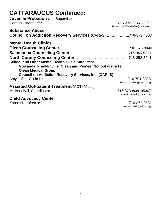# **CATTARAUGUS Continued:**

| Juvenile Probation Unit Supervisor                                                                                                                                                                                  |                                   |
|---------------------------------------------------------------------------------------------------------------------------------------------------------------------------------------------------------------------|-----------------------------------|
| <b>Substance Abuse</b>                                                                                                                                                                                              | E-mail: godiffenderfer@cattco.org |
| <b>Council on Addiction Recovery Services (CAReS)716-373-4303</b>                                                                                                                                                   |                                   |
| <b>Mental Health Clinics</b>                                                                                                                                                                                        |                                   |
|                                                                                                                                                                                                                     |                                   |
|                                                                                                                                                                                                                     |                                   |
|                                                                                                                                                                                                                     |                                   |
| <b>School and Other Mental Health Clinic Satellites:</b><br>Gowanda, Franklinville, Olean and Pioneer School districts<br><b>Olean Medical Group</b><br><b>Council on Addiction Recovery Services, Inc. (CAReS)</b> |                                   |
|                                                                                                                                                                                                                     |                                   |
| <b>Assisted Out-patient Treatment (AOT) (Adult)</b>                                                                                                                                                                 | E-mail: allafler@cattco.org       |
|                                                                                                                                                                                                                     |                                   |
|                                                                                                                                                                                                                     | E-mail: maball@cattco.org         |
| <b>Child Advocacy Center</b>                                                                                                                                                                                        |                                   |
|                                                                                                                                                                                                                     | E-mail: khill@sthcs.org           |
|                                                                                                                                                                                                                     |                                   |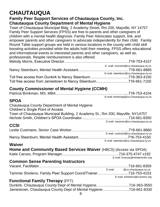# **CHAUTAUQUA**

### **Family Peer Support Services of Chautauqua County, Inc. Chautauqua County Department of Mental Hygiene**

Town of Chautauqua Municipal Bldg, 2 Academy Street, Rm 200, Mayville, NY 14757 Family Peer Support Services (FPSS) are free to parents and other caregivers of children with a mental health diagnosis. Family Peer Advocates support, link, and empower parents and other caregivers to advocate independently for their child. Family Round Table support groups are held in various locations in the county with child skill boosting activities provided while the adults hold their meeting. FPSS offers educational and informational events to interested parents and other caregivers, as well as, professionals. Respite reimbursement is also offered. Melody Morris, Executive Director……………………………….……...……..716-753-4157 . E-.mail: [morrisml@co.chautauqua.ny.us](mailto:eimersc@co.chautauqua.ny.us)

| E-mail: steenburn@co.chautaugua.ny.us |
|---------------------------------------|
|                                       |
|                                       |

# **County Commissioner of Mental Hygiene (CCMH)**

|  | E-mail: brinkmap@co.Chautauqua.ny.us |
|--|--------------------------------------|

### **SPOA**

| VI VA                                                                           |                                      |
|---------------------------------------------------------------------------------|--------------------------------------|
| Chautauqua County Department of Mental Hygiene                                  |                                      |
| <b>Children's Single Point of Access</b>                                        |                                      |
| Town of Chautauqua Municipal Building, 2 Academy St., Rm 200, Mayville, NY14757 |                                      |
|                                                                                 |                                      |
|                                                                                 | E-mail: mesmerr@co.chautauqua.ny.us  |
| <b>CCSI</b>                                                                     |                                      |
|                                                                                 |                                      |
|                                                                                 | E-mail: cusimanl@co.chautauqua.ny.us |
|                                                                                 |                                      |
|                                                                                 | E-mail: steenbun@co.chautauqua.ny.us |
| <b>Waiver</b>                                                                   |                                      |
| <b>Home and Community Based Services Waiver (HBCS) (Access via SPOA)</b>        |                                      |
|                                                                                 |                                      |

#### E-mail: kcaruso@rehabcenter.org

# **Common Sense Parenting Instructors**

|                                                                | E-mail: | @co.chautauqua.ny.us           |
|----------------------------------------------------------------|---------|--------------------------------|
| Tammie Shioleno, Family Peer Support Coord/Trainer716-753-4153 |         |                                |
|                                                                |         | E-mail: tshioleno@ccaction.org |

#### **Functional Family Therapy** (FFT)

|  |  | Dunkirk, Chautauqua County Dept of Mental Hygiene716-363-3550   |  |
|--|--|-----------------------------------------------------------------|--|
|  |  | Jamestown, Chautauqua County Dept of Mental Hygiene716-661-8330 |  |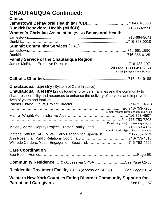#### **CHAUTAUQUA Continued: Clinics**

| <b>GIINICS</b>                                                                         |                                      |
|----------------------------------------------------------------------------------------|--------------------------------------|
|                                                                                        |                                      |
|                                                                                        |                                      |
| <b>Women's Christian Association (WCA) Behavioral Health</b>                           |                                      |
|                                                                                        |                                      |
|                                                                                        |                                      |
| <b>Summit Community Services (TRC)</b>                                                 |                                      |
|                                                                                        |                                      |
|                                                                                        |                                      |
|                                                                                        |                                      |
| <b>Family Service of the Chautauqua Region</b>                                         |                                      |
|                                                                                        |                                      |
|                                                                                        | E-mail: jimm@fscr.mygbiz.com         |
|                                                                                        |                                      |
|                                                                                        |                                      |
| <b>Chautauqua Tapestry</b> (System of Care Initiative)                                 |                                      |
|                                                                                        |                                      |
| <b>Chautauqua Tapestry</b> brings together providers, families and the community to    |                                      |
| share responsibility and resources to enhance the delivery of services and improve the |                                      |
| lives of youth and families.                                                           |                                      |
|                                                                                        |                                      |
|                                                                                        | E-mail: mesmerr@co.chautauqua.ny.us  |
|                                                                                        |                                      |
|                                                                                        |                                      |
|                                                                                        | E-mail: wrightm@co.chautauqua.ny.us  |
| Melody Morris, Deputy Project Director/Family Lead716-753-4157                         |                                      |
|                                                                                        | E-mail: morrisml@co.chautauqua.ny.us |
| Victoria Patti MSSA, LMSW, Early Recognition Specialist716-753-4519                    |                                      |
|                                                                                        |                                      |
| Wilfredo Cordero, Youth Engagement Specialist716-753-4522                              |                                      |
| <b>Care Coordination</b>                                                               |                                      |
|                                                                                        |                                      |
| <b>Community Residence</b> (CR) (Access via SPOA)See Page 62-63                        |                                      |
| <b>Residential Treatment Facility</b> (RTF) (Access via SPOA)See Page 61-62            |                                      |
| <b>Western New York Counties Eating Disorder Community Supports for</b>                |                                      |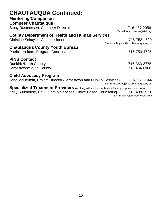# **CHAUTAUQUA Continued:**

### **Mentoring/Companion**

| <b>Compeer Chautauqua</b> |                             |
|---------------------------|-----------------------------|
|                           |                             |
|                           | E-mail: rasmussens@stel.org |

### **County Department of Health and Human Services**

Christine Schuyler, Commissioner….….……………………..……….………716-753-4590 E-mail: [schuylerc@co.chautauqua.ny.us](mailto:schuylerc@co.chautauqua.ny.us)

#### **Chautauqua County Youth Bureau**

# **PINS Contact**

#### **Child Advocacy Program**

Jana McDermitt, Project Director (Jamestown and Dunkirk Services).........716-338-9844

E-mail: mcdermoj@co.chautauqua.ny.us

**Specialized Treatment Providers** (working with children with sexually inappropriate behaviors): Kelly Burkhouse, PhD., Family Services, Office Based Counseling....……716-488-1971 E-mail: [fscr@familyservicecr.com](mailto:fscr@familyservicecr.com)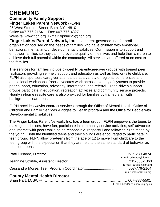# **CHEMUNG**

**Community Family Support Finger Lakes Parent Network** (FLPN) 25 West Steuben Street, Bath, NY 14810 Office 607-776-2164 Fax: 607-776-4327 Website: [www.flpn.org](http://www.flpn.org/) E-mail: [flpninc25@flpn.org](mailto:flpninc25@flpn.org)

**Finger Lakes Parent Network, Inc.** is a parent-governed, not for profit organization focused on the needs of families who have children with emotional, behavioral, mental and/or developmental disabilities. Our mission is to support and empower families so they can improve the quality of their lives and help their children to achieve their full potential within the community. All services are offered at no cost to the families.

The services for families include bi-weekly parent/caregiver groups with trained peer facilitators providing self-help support and education as well as free, on-site childcare. FLPN also sponsors caregiver attendance at a variety of regional conferences and educational workshops. Peer advocates work across a variety of systems to provide peer support, education, advocacy, information, and referral. Teen-driven support groups participate in education, recreation activities and community service projects. Hourly in-home respite care is also provided for families by trained staff with background clearances.

FLPN provides wavier contract services through the Office of Mental Health, Office of Children and Family Services -Bridges to Health program and the Office for People with Developmental Disabilities.

The Finger Lakes Parent Network, Inc. has a teen group. FLPN empowers the teens to make good choices, have fun, participate in community service activities, self-advocate and interact with peers while being responsible, respectful and following rules made by the youth. Both the identified teens and their siblings are encouraged to participate in teen group. FLPN allow pre-teens from the age of 12 to move from childcare to the teen group with the expectation that they are held to the same standard of behavior as the older teens.

| According Marchall Handel, Nicolaire |                           |
|--------------------------------------|---------------------------|
|                                      | E-mail: cmorse@flpn.org   |
|                                      |                           |
|                                      | E-mail: jstruble@flpn.org |
|                                      |                           |
|                                      | E-mail: pdinardo@flpn.org |
|                                      |                           |
|                                      |                           |

### **County Mental Health Director**

| E-mail: bhart@co.chemung.ny.us |
|--------------------------------|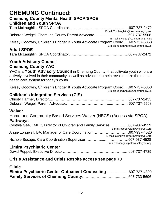# **CHEMUNG Continued: Chemung County Mental Health SPOA/SPOE**

# **Children and Youth SPOA**

| <b>Adult SPOE</b>                                                             |                                     |
|-------------------------------------------------------------------------------|-------------------------------------|
|                                                                               | E-mail: kgoodwin@co.chemung.ny.us   |
| Kelsey Goodwin, Children's Bridger & Youth Advocate Program Coord607-737-5858 |                                     |
|                                                                               | E-mail: dweigel@co.chemung.ny.us    |
|                                                                               |                                     |
|                                                                               | Email: Tmclaughlin@co.chemung.ny.us |
|                                                                               |                                     |

|--|

#### **Youth Advisory Council Chemung County YAC**

YAC is a **Youth Advisory Council** in Chemung County; that cultivate youth who are actively involved in their community as well as advocate to help revolutionize the mental health care system for today's youth.

Kelsey Goodwin, Children's Bridger & Youth Advocate Program Coord..…607-737-5858

E-mail: kgoodwin@co.chemung.ny.us

### **Children's Integration Services (CIS)**

#### **Waiver**

#### Home and Community Based Services Waiver (HBCS) (Access via SPOA) **Pathways**

| Cynthia Gee, LMHC, Director of Children and Family Services607-937-4519 |                                      |
|-------------------------------------------------------------------------|--------------------------------------|
|                                                                         | E-mail: cgee@pathwaysforyou.org      |
|                                                                         |                                      |
|                                                                         | E-mail: alongwell@pathwaysforyou.org |
|                                                                         |                                      |
|                                                                         | E-mail: nbocage@pathwaysforyou.org   |

#### **Elmira Psychiatric Center**

|--|--|--|

#### **Crisis Assistance and Crisis Respite access see page 70**

#### **Clinic**

| Elmira Psychiatric Center Outpatient Counseling607-737-4800 |  |
|-------------------------------------------------------------|--|
|                                                             |  |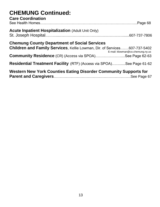#### **CHEMUNG Continued: Care Coordination**

| <b>Western New York Counties Eating Disorder Community Supports for</b>                                                                 |                                  |
|-----------------------------------------------------------------------------------------------------------------------------------------|----------------------------------|
| <b>Residential Treatment Facility</b> (RTF) (Access via SPOA)See Page 61-62                                                             |                                  |
| <b>Community Residence</b> (CR) (Access via SPOA)See Page 62-63                                                                         |                                  |
| <b>Chemung County Department of Social Services</b><br><b>Children and Family Services, Kellie Lowman, Dir. of Services607-737-5402</b> | E-mail: klowman@co.chemung.ny.us |
| <b>Acute Inpatient Hospitalization (Adult Unit Only)</b>                                                                                |                                  |
| <b>Care Coordination</b>                                                                                                                |                                  |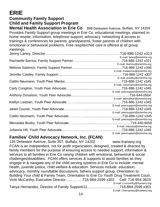# **ERIE**

# **Community Family Support Child and Family Support Program**

**Mental Health Association in Erie Co** 999 Delaware Avenue, Buffalo, NY 14209 Provides Family Support group meetings in Erie Co, educational meetings, planned inhome respite, information, telephone support, advocacy, networking & access to trainings & conferences for parents, grandparents, foster parents of children with emotional or behavioral problems. Free respite/child care is offered at all group meetings.

| E-mail: laney@eriemha.org       |
|---------------------------------|
|                                 |
| E-mail: rbarrios@eriemha.org    |
|                                 |
| E-mail: msalamon@eriemha.org    |
|                                 |
| E-mail: jcawley@eriemha.org     |
|                                 |
| E-mail: cneumann@eriemha.org    |
|                                 |
| E-mail: peersupport@eriemha.org |
|                                 |
| E-mail: adonalson@eriemha.org   |
|                                 |
| E-mail: peersupport@eriemha.org |
|                                 |
| E-mail: peersupport@eriemha.org |
|                                 |
| E-mail: peersupport@eriemha.org |
|                                 |
| E-mail: mbusby@eriemha.org      |
|                                 |
| E-mail: peersupport@eriemha.org |

### **Families' Child Advocacy Network, Inc. (FCAN)**

135 Delaware Avenue, Suite 307, Buffalo, NY 14202 www.fcanwny.org FCAN is an independent, not for profit organization, designed, created & directed by family members for the purpose of ensuring access to needed support, information & services to all families in Erie Co raising children with emotional, behavioral & social challenges/disabilities. FCAN offers services & supports to assist families as they engage in & navigate any of the child serving systems in Erie Co to include: mental health, juvenile justice, child welfare & education. Services include: education, advocacy, monthly roundtable discussions, fathers support group, Orientation to Building Your child & Family Team, Orientation to Erie Co Youth Drug Treatment Court. Vicki McCarthy, Executive Director.….………716-884-2599 x302 Cell: 716-954-3615 E-mail: [v.mccarthy@fcanwny.org](mailto:v.mccarthy@fcanwny.org) Tanya Hernandez, Director of Family Support/JJ………....…….……..716-884-2599 x301 E-mail: t.hernandez@fcanwny.org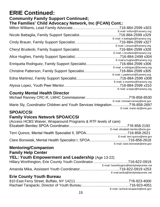# **ERIE Continued:**

#### **Community Family Support Continued; The Families' Child Advocacy Network, Inc (FCAN) Cont.:**

|                                                       | E-mail: milton@fcanwny.org               |
|-------------------------------------------------------|------------------------------------------|
|                                                       | .716-884-2599 x329                       |
|                                                       | E-mail: n.battaglia@fcanwny.org          |
|                                                       | 716-884-2599 x327                        |
|                                                       | E-mail: c.brauer@fcanwny.org             |
|                                                       | 716-884-2599 x328                        |
|                                                       | E-mail: c.brudecki@fcanwny.org           |
|                                                       | $\ldots \ldots \ldots$ 716-884-2499 x304 |
|                                                       | E-mail:a.hughes@fcanwny.org              |
| Enriqueta Rodriguez, Family Support Specialist        | 716-884-2599 x306                        |
|                                                       | E-mail: e.rodriguez@facnwny.org          |
| <b>Christine Patterson, Family Support Specialist</b> | 716-884-2599 x305                        |
|                                                       | E-mail: c.patterson@fcanwny.org          |
|                                                       | 716-884-2599 x308                        |
|                                                       | E-mail: e.martinez@fcanwny.org           |
|                                                       |                                          |
|                                                       | E-mail: a.lopez@fcanwny.org              |

### **County Mental Health Director**

|                                                                            | E-mail: michael.ranney@erie.gov |
|----------------------------------------------------------------------------|---------------------------------|
| Marie Sly, Coordinator Children and Youth Services Integration716-858-2697 |                                 |
|                                                                            | E-mail: marie.sly@erie.gov      |
|                                                                            |                                 |

### **SPOA/CCSI**

# **Family Voices Network SPOA/CCSI**

| (Access HCBS Waiver, Wraparound Programs & RTF levels of care) |                                    |
|----------------------------------------------------------------|------------------------------------|
|                                                                |                                    |
|                                                                | E-mail: elizabeth.benitez@erie.gov |
|                                                                |                                    |
|                                                                | E-mail: terri.quince@erie.gov      |
|                                                                |                                    |
|                                                                | E-mail: clare.borowiak@erie.gov    |

#### **Mentoring/Companion Family Help Center**

# **YEL: Youth Empowerment and Leadership** (Age 13-22)

| Hillary Worthington, Erie County Youth Coordinator716-822-0919 |                                           |
|----------------------------------------------------------------|-------------------------------------------|
|                                                                | E-mail: hworthington@familyhelpcenter.net |
|                                                                |                                           |
|                                                                | E-mail:amika@familyhelpcenter.net         |

#### **Erie County Youth Bureau**

| E-mail: racheal.tarapacki@erie.gov |
|------------------------------------|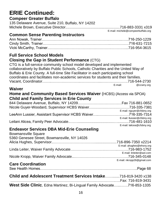# **ERIE Continued: Compeer Greater Buffalo**

#### 135 Delaware Avenue, Suite 210, Buffalo, NY 14202 Michele Brown, Executive Director.....................................................716-883-3331 x319

E-mail: [michele@compeerbuffalo.org](mailto:michele@compeerbuffalo.org)

# **Common Sense Parenting Instructors**

#### **Full Service School Models Closing the Gap in Student Performance** (CTG)

CTG is a full-service community school model developed and implemented collaboratively by Buffalo Public Schools, Catholic Charities and the United Way of Buffalo & Erie County. A full-time Site Facilitator in each participating school coordinates and facilitates non-academic services for students and their families. Vacant, Coordinator……..……….…………..……………..………………….716-544-2730 E-mail: @ccwny.org

#### **Waiver**

#### **Home and Community Based Services Waiver** (HCBS) (Access via SPOA) **Child and Family Services in Erie County**

| E-mail: nguyer@cfsbny.org   |
|-----------------------------|
|                             |
| E-mail: Ilussier@cfsbny.org |
|                             |
| E-mail: lalicea@cfsbny.org  |

### **Endeavor Services DBA Mid-Erie Counseling**

| <b>Bowmansville Square</b>                                      |                                       |
|-----------------------------------------------------------------|---------------------------------------|
| 5360 Genesee Street, Bowmansville, NY 14026                     |                                       |
|                                                                 |                                       |
|                                                                 | E-mail: ahughes@ehsny.org             |
|                                                                 |                                       |
|                                                                 | E-mail: linleiter@aol.com             |
|                                                                 |                                       |
|                                                                 | E-mail: nkropp26@gmail.com            |
| <b>Care Coordination</b>                                        |                                       |
|                                                                 |                                       |
| Child and Adolescent Treatment Services Intake716-819-3420 x138 |                                       |
|                                                                 | $\Gamma_{\alpha\beta}$ , 740 040 0404 |

|  |  | West Side Clinic, Edna Martinez, Bi-Lingual Family Advocate716-853-1335 |
|--|--|-------------------------------------------------------------------------|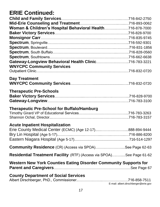# **ERIE Continued:**

| Woman & Children's Hospital Behavioral Health716-878-7000                                           |                                      |
|-----------------------------------------------------------------------------------------------------|--------------------------------------|
|                                                                                                     |                                      |
|                                                                                                     |                                      |
|                                                                                                     |                                      |
|                                                                                                     |                                      |
|                                                                                                     |                                      |
|                                                                                                     |                                      |
| Gateway-Longview Behavioral Health Clinic716-783-3221                                               |                                      |
| <b>WNYCPC Community Services</b>                                                                    |                                      |
|                                                                                                     |                                      |
| <b>Day Treatment</b>                                                                                |                                      |
|                                                                                                     |                                      |
|                                                                                                     |                                      |
| <b>Therapeutic Pre-Schools</b>                                                                      |                                      |
|                                                                                                     |                                      |
|                                                                                                     |                                      |
| <b>Therapeutic Pre-School for Buffalo/Hamburg</b>                                                   |                                      |
|                                                                                                     |                                      |
|                                                                                                     |                                      |
|                                                                                                     |                                      |
| <b>Acute Inpatient Hospitalization</b><br>Erie County Medical Center (ECMC) (Age 12-17)888-894-9444 |                                      |
|                                                                                                     |                                      |
|                                                                                                     |                                      |
|                                                                                                     |                                      |
| <b>Community Residence</b> (CR) (Access via SPOA)See Page 62-63                                     |                                      |
| Residential Treatment Facility (RTF) (Access via SPOA)See Page 61-62                                |                                      |
| Western New York Counties Eating Disorder Community Supports for                                    |                                      |
| <b>County Department of Social Services</b>                                                         |                                      |
|                                                                                                     | E-mail: albert.dirschberger@erie.gov |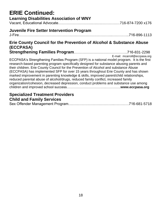| <b>ERIE Continued:</b><br><b>Learning Disabilities Association of WNY</b>                                                                                                                                                                                                                                                                                                                                                                                                                                                                                                                                                                                                           |  |
|-------------------------------------------------------------------------------------------------------------------------------------------------------------------------------------------------------------------------------------------------------------------------------------------------------------------------------------------------------------------------------------------------------------------------------------------------------------------------------------------------------------------------------------------------------------------------------------------------------------------------------------------------------------------------------------|--|
| <b>Juvenile Fire Setter Intervention Program</b>                                                                                                                                                                                                                                                                                                                                                                                                                                                                                                                                                                                                                                    |  |
| Erie County Council for the Prevention of Alcohol & Substance Abuse<br>(ECCPASA)                                                                                                                                                                                                                                                                                                                                                                                                                                                                                                                                                                                                    |  |
| E-mail: mcarroll@eccpasa.org<br>ECCPASA's Strengthening Families Program (SFP) is a national model program. It is the first<br>research-based parenting program specifically designed for substance abusing parents and<br>their children. Erie County Council for the Prevention of Alcohol and substance Abuse<br>(ECCPASA) has implemented SFP for over 15 years throughout Erie County and has shown<br>marked improvement in parenting knowledge & skills, improved parent/child relationships,<br>reduced parental abuse of alcohol/drugs, reduced family conflict, increased family<br>organization/cohesion, decreased depression, conduct problems and substance use among |  |
| <b>Conciplized Trantment Draviders</b>                                                                                                                                                                                                                                                                                                                                                                                                                                                                                                                                                                                                                                              |  |

#### **Specialized Treatment Providers Child and Family Services**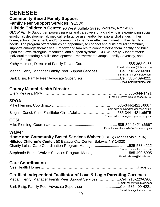# **GENESEE**

### **Community Based Family Support**

**Family Peer Support Services** (GLOW),

**Hillside Children's Center**, 96 West Buffalo Street, Warsaw, NY 14569 GLOW Family Support empowers parents and caregivers of a child who is experiencing social, emotional, developmental, medical, substance use, and/or behavioral challenges in their home, school, placement, and/or community to be more effective in meeting their family's needs. The program offers families an opportunity to connect and build natural community supports amongst themselves. Empowering families to connect helps them identify and build upon their own strengths, resources, and support systems. GLOW Family Support offers: Individual mentoring & skills development, Empowerment Groups, Family Advocacy, and Parent Education.

|                                                                     | E-mail: kholmes@hillside.com |
|---------------------------------------------------------------------|------------------------------|
| Megan Henry, Manager Family Peer Support ServicesCell: 716-220-6906 |                              |
|                                                                     | E-mail: mhenry@hillside.com  |
|                                                                     |                              |
|                                                                     | E-mail: bbisig@hillside.com  |

# **County Mental Health Director**

|  | E-mail: ereaves@co.genesee.ny.us |
|--|----------------------------------|

#### **SPOA**

| E-mail: mike.fleming@co.genesse.ny.us |
|---------------------------------------|
|                                       |
| E-mail: mike.fleming@co.genesse.ny.us |

### **CCSI**

|  | E-mail: mike.fleming@Co.Genesee.ny.us |
|--|---------------------------------------|

#### **Waiver**

**Home and Community Based Services Waiver** (HBCS) (Access via SPOA) **Hillside Children's Center**, 50 Batavia City Center, Batavia, NY 14020 Charity Lulas, Care Coordination Program Manager .............................….585-533-4212 E-mail: clulas@hillside.com Stephanie Burke, Waiver Services Program Manager............................….585-409-6005 E-mail: sburke@hillside.com

#### **Care Coordination**

|--|--|

# **Certified Independent Facilitator of Love & Logic Parenting Curricula**

| Megan Henry, Manager Family Peer Support ServicesCell: 716-220-6906 |                             |
|---------------------------------------------------------------------|-----------------------------|
|                                                                     | E-mail: mhenry@hillside.com |
|                                                                     |                             |
|                                                                     | E-mail: bbisig@hillside.com |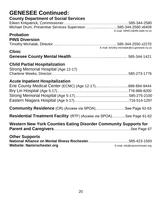| <b>GENESEE Continued:</b><br><b>County Department of Social Services</b>                            |
|-----------------------------------------------------------------------------------------------------|
| Michael Drum, Preventive Services Supervisor585-344-2580 x6409<br>E-mail: 18A611@dfa.state.ny.us    |
| <b>Probation</b><br><b>PINS Diversion</b>                                                           |
| E-mail: timothy.michalak@co.genesee.ny.us<br><b>Clinic</b>                                          |
| <b>Child Partial Hospitalization</b><br>Strong Memorial Hospital (Age 12-17)                        |
| <b>Acute Inpatient Hospitalization</b><br>Erie County Medical Center (ECMC) (Age 12-17)888-894-9444 |
| <b>Community Residence</b> (CR) (Access via SPOA)See Page 62-63                                     |
| Residential Treatment Facility (RTF) (Access via SPOA)See Page 61-62                                |
| <b>Western New York Counties Eating Disorder Community Supports for</b>                             |
| <b>Other Supports</b><br><b>Website: Namirochester.org</b><br>E-mail: info@namirochester.org        |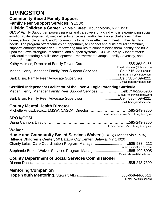# **LIVINGSTON**

### **Community Based Family Support**

#### **Family Peer Support Services** (GLOW)

**Hillside Children's Center,** 24 Main Street, Mount Morris, NY 14510

GLOW Family Support empowers parents and caregivers of a child who is experiencing social, emotional, developmental, medical, substance use, and/or behavioral challenges in their home, school, placement, and/or community to be more effective in meeting their family's needs. The program offers families an opportunity to connect and build natural community supports amongst themselves. Empowering families to connect helps them identify and build upon their own strengths, resources, and support systems. GLOW Family Support offers: Individual mentoring & skills development, Empowerment Groups, Family Advocacy, and Parent Education.

|                                                                     | E-mail: kholmes@hillside.com |
|---------------------------------------------------------------------|------------------------------|
| Megan Henry, Manager Family Peer Support ServicesCell: 716-220-6906 |                              |
|                                                                     | E-mail: mhenry@hillside.com  |
|                                                                     |                              |
|                                                                     | E-mail: bbisig@hillside.com  |

| Certified Independent Facilitator of the Love & Logic Parenting Curricula |                             |  |
|---------------------------------------------------------------------------|-----------------------------|--|
| Megan Henry, Manager Family Peer Support ServicesCell: 716-220-6906       |                             |  |
|                                                                           | E-mail: mhenry@hillside.com |  |
|                                                                           |                             |  |
|                                                                           | E-mail: bbisig@hillside.com |  |

#### **County Mental Health Director**

|  |  | E-mail: manuszkiewicz@co.livingston.ny.us |  |
|--|--|-------------------------------------------|--|

#### **SPOA/CCSI**

Diana Cannon, Director…...….………………..………………………………..585-243-7250

E-mail: dcannon@co.livingston.ny.us

#### **Waiver**

#### **Home and Community Based Services Waiver** (HBCS) (Access via SPOA) **Hillside Children's Center**, 50 Batavia City Center, Batavia, NY 14020

| Charity Lulas, Care Coordination Program Manager 585-533-4212 |                             |
|---------------------------------------------------------------|-----------------------------|
|                                                               | E-mail: clulas@hillside.com |
| Stephanie Burke, Waiver Services Program Manager585-409-6005  |                             |
|                                                               | E-mail: sburke@hillside.com |

### **County Department of Social Services Commissioner**

|--|--|

#### **Mentoring/Companion**

| E-mail: satkin@dor.org |
|------------------------|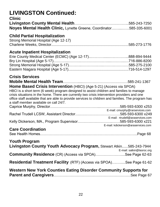# **LIVINGSTON Continued:**

### **Clinic**

| Noyes Mental Health Clinic, Lynette Greene, Coordinator585-335-6001 |  |
|---------------------------------------------------------------------|--|

# **Child Partial Hospitalization**

| Strong Memorial Hospital (Age 12-17) |  |
|--------------------------------------|--|
|                                      |  |

### **Acute Inpatient Hospitalization**

### **Crisis Services**

| <b>Home Based Crisis Intervention</b> (HBCI) (Age 5-21) (Access via SPOA)                                                                    |                           |
|----------------------------------------------------------------------------------------------------------------------------------------------|---------------------------|
| HBCI is a short term (6 week) program designed to assist children and families to manage                                                     |                           |
| crisis situations in the home. There are currently two crisis intervention providers and one                                                 |                           |
| office staff available that are able to provide services to children and families. The program has<br>a staff member available on call 24/7. |                           |
|                                                                                                                                              |                           |
| E-mail: cmurphy@rarservices.com                                                                                                              |                           |
|                                                                                                                                              |                           |
| E-mail: rtrudell@araservices.com                                                                                                             |                           |
|                                                                                                                                              |                           |
| E-mail: kdickerson@araservices.com                                                                                                           |                           |
| <b>Care Coordination</b>                                                                                                                     |                           |
|                                                                                                                                              |                           |
|                                                                                                                                              |                           |
| <b>Youth Program</b>                                                                                                                         |                           |
| Livingston County Youth Advocacy Program, Stewart Atkin585-243-7944                                                                          | E-mail: satkin@lasroc.org |
| <b>Community Residence</b> (CR) (Access via SPOA)See Page 62-63                                                                              |                           |
| <b>Residential Treatment Facility</b> (RTF) (Access via SPOA)See Page 61-62                                                                  |                           |
| Western New York Counties Eating Disorder Community Supports for                                                                             |                           |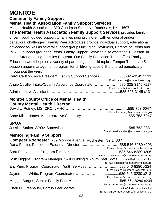# **MONROE**

#### **Community Family Support Mental Health Association Family Support Services**

Mental Health Association, 320 Goodman Street N., Rochester, NY 14607 **The Mental Health Association Family Support Services** provides familydriven, youth guided support to families raising children with emotional and/or behavioral challenges. Family Peer Advocates provide individual support, educational advocacy as well as several support groups including Daytimers, Parents of Teens and PEACE support group for Teens. Family Support Services also offers the 10 lesson, inhome Strengthening Families Program. Our Family Education Team offers Family Education workshops on a variety of parenting and child topics. Temper Tamers, a 5 session anger management program for children grades 2-5 is offered periodically throughout the year.

| Carol Carlson, Vice President, Family Support Services585-325-3145 x133 |                                  |
|-------------------------------------------------------------------------|----------------------------------|
|                                                                         | Email: ccarlson@mharochester.org |
| Angie Coville, Intake/Quality Assurance Coordinator585-325-3145 x117    |                                  |
|                                                                         | Email: acoville@mharochester.org |
|                                                                         |                                  |

#### **Monroe County Office of Mental Health County Mental Health Director**

| E-mail: dputney@monroecounty.gov |
|----------------------------------|
|                                  |
|                                  |

### **SPOA**

| E-mail: jessicastalter@monroecounty.gov |
|-----------------------------------------|

### **Mentoring/Family Support**

| <b>Compeer Rochester, 259 Monroe Avenue, Rochester, NY 14607</b>                  |                                          |
|-----------------------------------------------------------------------------------|------------------------------------------|
|                                                                                   |                                          |
|                                                                                   | E-mail: dframe@compeerrochester.org      |
|                                                                                   |                                          |
|                                                                                   | E-mail: spassamonte@compeerrochester.org |
| Josh Higgins, Program Manager, Skill Building & Youth Peer Srvcs585-546-8280 x217 |                                          |
|                                                                                   | E-mail: jhiggins@compeerrochester.org    |
| Eric King, Program Coordinator Youth Services585-546-8280 x224                    |                                          |
|                                                                                   | E-mail: eking@compeerrochester.org       |
|                                                                                   |                                          |
|                                                                                   | E-mail: jwhite@compeerrochester.org      |
|                                                                                   | .585-564-8280 x204                       |
|                                                                                   | E-mail: mburgos@compeerrochester.org     |
|                                                                                   |                                          |
|                                                                                   | E-mail: cgreenauer@compeerrochester.org  |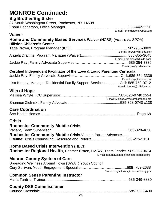| <b>MONROE Continued:</b>                                                                                      |                                              |
|---------------------------------------------------------------------------------------------------------------|----------------------------------------------|
| <b>Big Brother/Big Sister</b><br>37 South Washington Street, Rochester, NY 14608                              |                                              |
|                                                                                                               |                                              |
|                                                                                                               | E-mail: ehenderson@bbbsr.org                 |
| <b>Waiver</b>                                                                                                 |                                              |
| <b>Home and Community Based Services Waiver (HCBS) (Access via SPOA)</b><br><b>Hillside Children's Center</b> |                                              |
|                                                                                                               |                                              |
|                                                                                                               | E-mail: tbrown@hillside.com                  |
|                                                                                                               | E-mail: adrahms@hillside.com                 |
|                                                                                                               | E-mail: jray@hillside.com                    |
| Certified Independent Facilitator of the Love & Logic Parenting Curricula                                     |                                              |
|                                                                                                               | E-mail: jray@hillside.com                    |
| Lisa Kinney, Manager Residential Family Support ServicesCell: 585-752-0712                                    | E-mail: Ikinney@hillside.com                 |
| <b>Villa of Hope</b>                                                                                          |                                              |
|                                                                                                               |                                              |
|                                                                                                               |                                              |
| <b>Care Coordination</b>                                                                                      |                                              |
|                                                                                                               |                                              |
| <b>Crisis</b>                                                                                                 |                                              |
| <b>Rochester Community Mobile Crisis</b>                                                                      |                                              |
|                                                                                                               |                                              |
| Rochester Community Mobile Crisis Vacant, Parent Advocate                                                     |                                              |
| Lifeline: Crisis Counseling, Resource and Referral585-275-5151                                                |                                              |
| Home Based Crisis Intervention (HBCI)                                                                         |                                              |
| Rochester Regional Health, Heather Elston, LMSW, Team Leader585-368-3614                                      |                                              |
|                                                                                                               | E-mail: heather.elston@rochesterregional.org |
| <b>Monroe County System of Care</b>                                                                           |                                              |
| Spreading Wellness Around Town (SWAT) Youth Council                                                           |                                              |
|                                                                                                               | E-mail: corysullivan@monroecounty.gov        |
| <b>Common Sense Parenting Instructor</b>                                                                      |                                              |
|                                                                                                               |                                              |
|                                                                                                               |                                              |
| <b>County DSS Commissioner</b>                                                                                |                                              |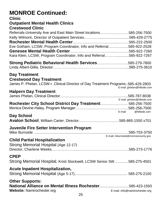# **MONROE Continued:**

#### **Clinic**

#### **Outpatient Mental Health Clinics Crestwood Clinic**

| Referrals-University Ave and East Main Street locations585-256-7500  |  |
|----------------------------------------------------------------------|--|
|                                                                      |  |
|                                                                      |  |
| Eve Gotham, LCSW, Program Coordinator, Info and Referral585-922-2528 |  |
|                                                                      |  |
| Kara Klein, LCSW, Program Coordinator, Info and Referral585-922-7267 |  |
|                                                                      |  |

| Strong Pediatric Behavioral Health Services585-279-7800 |  |
|---------------------------------------------------------|--|
|                                                         |  |

#### **Day Treatment**

#### **Crestwood Day Treatment**

|  | James P. Phelan, LCSW-r, Clinical Director of Day Treatment Programs585-429-2803 |
|--|----------------------------------------------------------------------------------|
|  | E-mail: jphelan@hillside.com                                                     |

#### **Halpern Day Treatment**

|                                                           | E-mail: jphelan@hillside.com |
|-----------------------------------------------------------|------------------------------|
| Rochester City School District Day Treatment 585-256-7500 |                              |
|                                                           |                              |
|                                                           | E-mail: @hillside.com        |

#### **Day School**

|--|--|--|

#### **Juvenile Fire Setter Intervention Program**

| E-mail: mburnside@monroecounty.gov |
|------------------------------------|

#### **Child Partial Hospitalization**

| Strong Memorial Hospital (Age 12-17) |  |
|--------------------------------------|--|
|                                      |  |

#### **CPEP**

Strong Memorial Hospital, Kristi Stockwell, LCSW Senior SW……..….585-275-4501

### **Acute Inpatient Hospitalization,**

Strong Memorial Hospital (Age 5-17).................................................... 585-275-2100

# **Other Supports:**

**National Alliance on Mental Illness Rochester**.............................585-423-1593 Website: Namirochester.org **E-mail:** [info@namirochester.org](mailto:info@namirochester.org)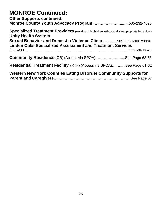# **MONROE Continued:**

| <b>Other Supports continued:</b><br>Monroe County Youth Advocacy Program585-232-4090                                               |  |
|------------------------------------------------------------------------------------------------------------------------------------|--|
| <b>Specialized Treatment Providers</b> (working with children with sexually inappropriate behaviors)<br><b>Unity Health System</b> |  |
| Sexual Behavior and Domestic Violence Clinic585-368-6900 x8990                                                                     |  |
| <b>Linden Oaks Specialized Assessment and Treatment Services</b>                                                                   |  |
|                                                                                                                                    |  |
| <b>Community Residence</b> (CR) (Access via SPOA)See Page 62-63                                                                    |  |
| <b>Residential Treatment Facility</b> (RTF) (Access via SPOA)See Page 61-62                                                        |  |
| <b>Western New York Counties Eating Disorder Community Supports for</b>                                                            |  |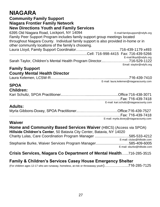# **NIAGARA**

#### **Community Family Support**

**Niagara Frontier Family Network** 

#### **New Directions Youth and Family Services**

6395 Old Niagara Road, Lockport, NY 14094 [E-mail:familysupport@ndyfs.org](mailto:%20familysupport@ndyfs.org) Family Peer Support Program includes family support group meetings located throughout Niagara County. Individual family support is also provided in-home or in other community locations of the family's choosing. Laura Lloyd, Family Support Coordinator…...….……….....................716-439-1179 x493 ……………………………………………..............Cell: 716-998-4415 Fax: 716-439-5266 [E-mail:llloyd@ndyfs.org](mailto:E-mail:lszafranski@ndyfs.org) Sarah Taylor, Children's Mental Health Program Director....….…………....716-529-1122

#### **Family Support County Mental Health Director**

Laura Kelemen, LCSW-R...........................……….….……….......................716-439-7410 E-mail: laura.kelemen@niagaracounty.com

Email: staylor@ndyfs.org

#### **SPOA Children:**

| Children: |                                        |
|-----------|----------------------------------------|
|           |                                        |
|           |                                        |
|           | E-mail: kari.schultz@niagaracounty.com |

### **Adults:**

| E-mail: myrla.doxey@niagaracounty.com |
|---------------------------------------|

#### **Waiver**

| <b>Home and Community Based Services Waiver (HBCS) (Access via SPOA)</b> |                             |  |
|--------------------------------------------------------------------------|-----------------------------|--|
| Hillside Children's Center, 50 Batavia City Center, Batavia, NY 14020    |                             |  |
| Charity Lulas, Care Coordination Program Manager 585-533-4212            |                             |  |
|                                                                          | E-mail: clulas@hillside.com |  |
| Stephanie Burke, Waiver Services Program Manager585-409-6005             |                             |  |
|                                                                          | E-mail: sburke@hillside.com |  |

#### **Crisis Services, Niagara Co Department of Mental Health**…...716-285-3515

# **Family & Children's Services Casey House Emergency Shelter**

(For children ages 12-17 who are runaway, homeless, at-risk or throwaway youth)…………….….716-285-7125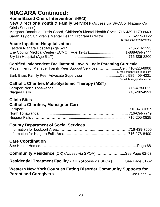# **NIAGARA Continued:**

# **Home Based Crisis Intervention** (HBCI)

**New Directions Youth & Family Services** (Access via SPOA or Niagara Co Crisis Services)

Margaret Donahue, Crisis Coord, Children's Mental Health Srvcs..716-439-1179 x443 Sarah Taylor, Children's Mental Health Program Director.………………..716-529-1122 E-mail: staylor@ndyfs.org

### **Acute Inpatient Hospitalization**

# **Certified Independent Facilitator of Love & Logic Parenting Curricula**

| Megan Henry, Manager Family Peer Support ServicesCell: 716-220-6906 |                             |
|---------------------------------------------------------------------|-----------------------------|
|                                                                     | E-mail: mhenry@hillside.com |
|                                                                     |                             |
|                                                                     | E-mail: bbisig@hillside.com |

### **Catholic Charities Multi-Systemic Therapy (MST)**

### **Clinic Sites**

# **Catholic Charities, Monsignor Carr**

#### **County Department of Social Services**

#### **Care Coordination**

|--|

| <b>Community Residence</b> (CR) (Access via SPOA)See Page 62-63 |  |
|-----------------------------------------------------------------|--|
|-----------------------------------------------------------------|--|

#### **Residential Treatment Facility** (RTF) (Access via SPOA)….….....See Page 61-62

#### **Western New York Counties Eating Disorder Community Supports for Parent and Caregivers**………………………………………………………See Page 67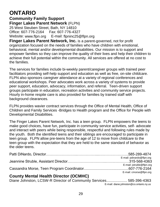# **ONTARIO**

**Community Family Support Finger Lakes Parent Network** (FLPN) 25 West Steuben Street, Bath, NY 14810 Office: 607-776-2164 Fax: 607-776-4327 Website: [www.flpn.org](http://www.flpn.org/) E-mail: [flpninc25@flpn.org](mailto:flpninc25@flpn.org)

**Finger Lakes Parent Network, Inc.** is a parent-governed, not for profit organization focused on the needs of families who have children with emotional, behavioral, mental and/or developmental disabilities. Our mission is to support and empower families so they can improve the quality of their lives and help their children to achieve their full potential within the community. All services are offered at no cost to the families.

The services for families include bi-weekly parent/caregiver groups with trained peer facilitators providing self-help support and education as well as free, on-site childcare. FLPN also sponsors caregiver attendance at a variety of regional conferences and educational workshops. Peer advocates work across a variety of systems to provide peer support, education, advocacy, information, and referral. Teen-driven support groups participate in education, recreation activities and community service projects. Hourly in-home respite care is also provided for families by trained staff with background clearances.

FLPN provides wavier contract services through the Office of Mental Health, Office of Children and Family Services -Bridges to Health program and the Office for People with Developmental Disabilities.

The Finger Lakes Parent Network, Inc. has a teen group. FLPN empowers the teens to make good choices, have fun, participate in community service activities, self- advocate and interact with peers while being responsible, respectful and following rules made by the youth. Both the identified teens and their siblings are encouraged to participate in teen group. FLPN allow pre-teens from the age of 12 to move from childcare to the teen group with the expectation that they are held to the same standard of behavior as the older teens.

| E-mail: pdinardo@flpn.org |
|---------------------------|
|                           |
| E-mail: jstruble@flpn.org |
|                           |
| E-mail: cmorse@flpn.org   |

### **County Mental Health Director (OCMHC)**

Diane Johnston, LCSW-R Director of Community Services.................... 585-396-4363 E-mail: [diane.johnston@co.ontario.ny.us](mailto:diane.johnston@co.ontario.ny.us)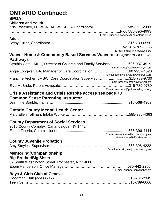# **ONTARIO Continued:**

# **SPOA**

| <b>Children and Youth</b>                                                         |                                                                           |
|-----------------------------------------------------------------------------------|---------------------------------------------------------------------------|
|                                                                                   |                                                                           |
|                                                                                   | E-mail: krisanne.sweeney@co.ontario.ny.us                                 |
| <b>Adult</b>                                                                      |                                                                           |
|                                                                                   |                                                                           |
|                                                                                   |                                                                           |
| <b>Waiver Home &amp; Community Based Services Waiver (HCBS) (Access via SPOA)</b> | E-mail: bfuller@lakeviewhs.org                                            |
| <b>Pathways</b>                                                                   |                                                                           |
| Cynthia Gee, LMHC, Director of Children and Family Services607-937-4519           |                                                                           |
|                                                                                   | E-mail: cgee@pathwaysforyou.org                                           |
|                                                                                   |                                                                           |
| Francine Archer, LMSW, Care Coordination Supervisor315-789-9730                   | E-mail: alongwell@pathwaysforyou.org                                      |
|                                                                                   | E-mail: farcher@pathwaysforyou.org                                        |
|                                                                                   | E-mail: emcbride@pathwaysforyou.org                                       |
| <b>Crisis Assistance and Crisis Respite access see page 70</b>                    |                                                                           |
| <b>Common Sense Parenting Instructor</b>                                          |                                                                           |
|                                                                                   |                                                                           |
|                                                                                   |                                                                           |
| <b>Ontario County Mental Health Center</b>                                        |                                                                           |
|                                                                                   |                                                                           |
| <b>County Department of Social Services</b>                                       |                                                                           |
| 3010 County Complex, Canandaigua, NY 14424                                        |                                                                           |
|                                                                                   |                                                                           |
|                                                                                   | E-mail: eileen.tiberio@co.ontario.ny.us<br>eileen.tiberio@dfa.state.ny.us |
| <b>County Juvenile Probation</b>                                                  |                                                                           |
|                                                                                   | .585-396-4222                                                             |
|                                                                                   | E-mail: amy.stoyles@co.ontario.ny.us                                      |
| <b>Mentoring/Companionship</b><br><b>Big Brother/Big Sister</b>                   |                                                                           |
| 37 South Washington Street, Rochester, NY 14608                                   |                                                                           |
|                                                                                   |                                                                           |
|                                                                                   | E-mail: ehenderson@bbbsr.org                                              |
| <b>Boys &amp; Girls Club of Geneva</b>                                            |                                                                           |
|                                                                                   |                                                                           |
|                                                                                   |                                                                           |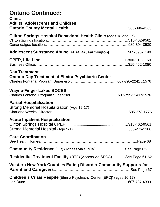# **Ontario Continued:**

| <b>Clinic</b><br><b>Adults, Adolescents and Children</b>                          |  |
|-----------------------------------------------------------------------------------|--|
| Clifton Springs Hospital Behavioral Health Clinic (ages 18 and up)                |  |
| <b>Adolescent Substance Abuse (FLACRA, Farmington)585-396-4190</b>                |  |
|                                                                                   |  |
| <b>Day Treatment</b><br><b>Ontario Day Treatment at Elmira Psychiatric Center</b> |  |
| <b>Wayne-Finger Lakes BOCES</b>                                                   |  |
| <b>Partial Hospitalization</b><br>Strong Memorial Hospitalization (Age 12-17)     |  |
| <b>Acute Inpatient Hospitalization</b>                                            |  |
| <b>Care Coordination</b>                                                          |  |
| <b>Community Residence</b> (CR) (Access via SPOA)See Page 62-63                   |  |
| <b>Residential Treatment Facility</b> (RTF) (Access via SPOA)See Page 61-62       |  |
| Western New York Counties Eating Disorder Community Supports for                  |  |
| <b>Children's Crisis Respite</b> (Elmira Psychiatric Center [EPC]) (ages 10-17)   |  |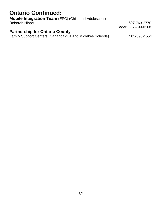# **Ontario Continued:**

| <b>Mobile Integration Team (EPC) (Child and Adolescent)</b> |                     |
|-------------------------------------------------------------|---------------------|
|                                                             |                     |
|                                                             | Pager: 607-799-0168 |
| <b>Partnership for Ontario County</b>                       |                     |

Family Support Centers (Canandaigua and Midlakes Schools)……………..585-396-4554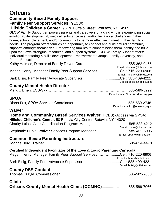# **Orleans**

# **Community Based Family Support**

#### **Family Peer Support Services** (GLOW)

**Hillside Children's Center,** 96 W. Buffalo Street, Warsaw, NY 14569

GLOW Family Support empowers parents and caregivers of a child who is experiencing social, emotional, developmental, medical, substance use, and/or behavioral challenges in their home, school, placement, and/or community to be more effective in meeting their family's needs. The program offers families an opportunity to connect and build natural community supports amongst themselves. Empowering families to connect helps them identify and build upon their own strengths, resources, and support systems. GLOW Family Support offers: Individual mentoring & skills development, Empowerment Groups, Family Advocacy, and Parent Education.

|                                                                     | E-mail: kholmes@hillside.com |
|---------------------------------------------------------------------|------------------------------|
| Megan Henry, Manager Family Peer Support ServicesCell: 716-220-6906 |                              |
|                                                                     | E-mail: mhenry@hillside.com  |
|                                                                     |                              |
|                                                                     | E-mail: bbisig@hillside.com  |

#### **County Mental Health Director**

#### E-mail: mark.o'brien@orleansny.gov

### **SPOA**

Diana Fox, SPOA Services Coordinator.....…….……........…….…………...585-589-2746 E-mail: diana.fox@orleansny.gov

#### **Waiver**

| <b>Home and Community Based Services Waiver (HCBS) (Access via SPOA)</b> |                             |  |
|--------------------------------------------------------------------------|-----------------------------|--|
| Hillside Children's Center, 50 Batavia City Center, Batavia, NY 14020    |                             |  |
|                                                                          |                             |  |
|                                                                          | E-mail: clulas@hillside.com |  |
| Stephanie Burke, Waiver Services Program Manager585-409-6005             |                             |  |
|                                                                          | E-mail: sburke@hillside.com |  |
| Accessory Assess Benedicts beneficial services                           |                             |  |

#### **Common Sense Parenting Instructors**

Joanne Berg, Trainer.......................................................................…....... 585-654-4478

#### **Certified Independent Facilitator of the Love & Logic Parenting Curricula**

| Megan Henry, Manager Family Peer Support ServicesCell: 716-220-6906 |                             |
|---------------------------------------------------------------------|-----------------------------|
|                                                                     | E-mail: mhenry@hillside.com |
|                                                                     |                             |
|                                                                     | E-mail: bbisig@hillside.com |

#### **County DSS Contact**

#### **Clinic**

| Orleans County Mental Health Clinic (OCMHC)585-589-7066 |  |  |
|---------------------------------------------------------|--|--|
|---------------------------------------------------------|--|--|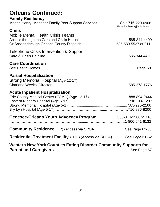# **Orleans Continued: Family Resiliency** Megan Henry, Manager Family Peer Support Services…………........Cell: 716-220-6906 E-mail: mhenry@hillside.com **Crisis** Mobile Mental Health Crisis Teams Access through the Care and Crisis Hotline…………………………………..585-344-4400 Or Access through Orleans County Dispatch………………………..585-589-5527 or 911 Telephone Crisis Intervention & Support Care & Crisis Helpline..………………………………………………………….585-344-4400 **Care Coordination** See Health Homes……………………………………………………………………..Page 68 **Partial Hospitalization**

| Strong Memorial Hospital (Age 12-17) |  |
|--------------------------------------|--|
|                                      |  |

#### **Acute Inpatient Hospitalization**

| Genesee-Orleans Youth Advocacy Program585-344-2580 x5716                    |  |
|-----------------------------------------------------------------------------|--|
| <b>Community Residence</b> (CR) (Access via SPOA)See Page 62-63             |  |
| <b>Residential Treatment Facility</b> (RTF) (Access via SPOA)See Page 61-62 |  |
| Western New York Counties Eating Disorder Community Supports for            |  |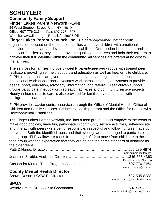# **SCHUYLER**

#### **Community Family Support Finger Lakes Parent Network** (FLPN) 25 West Steuben Street, Bath, NY 14810 Office: 607-776-2164 Fax: 607-776-4327

Website: [www.flpn.org](http://www.flpn.org/) E-mail: [flpninc25@flpn.org](mailto:flpninc25@flpn.org)

**Finger Lakes Parent Network, Inc.** is a parent-governed, not for profit organization focused on the needs of families who have children with emotional, behavioral, mental and/or developmental disabilities. Our mission is to support and empower families so they can improve the quality of their lives and help their children to achieve their full potential within the community. All services are offered at no cost to the families.

The services for families include bi-weekly parent/caregiver groups with trained peer facilitators providing self-help support and education as well as free, on-site childcare. FLPN also sponsors caregiver attendance at a variety of regional conferences and educational workshops. Peer advocates work across a variety of systems to provide peer support, education, advocacy, information, and referral. Teen-driven support groups participate in education, recreation activities and community service projects. Hourly in-home respite care is also provided for families by trained staff with background clearances.

FLPN provides wavier contract services through the Office of Mental Health, Office of Children and Family Services -Bridges to Health program and the Office for People with Developmental Disabilities.

The Finger Lakes Parent Network, Inc. has a teen group. FLPN empowers the teens to make good choices, have fun, participate in community service activities, self-advocate and interact with peers while being responsible, respectful and following rules made by the youth. Both the identified teens and their siblings are encouraged to participate in teen group. FLPN allow pre-teens from the age of 12 to move from childcare to the teen group with the expectation that they are held to the same standard of behavior as the older teens.

|                                      | E-mail: pdinardo@flpn.org                            |
|--------------------------------------|------------------------------------------------------|
|                                      | E-mail: jstruble@flpn.org<br>E-mail: cmorse@flpn.org |
| <b>County Mental Health Director</b> |                                                      |
|                                      | E-mail: srosno@co.schuyler.ny.us                     |

#### **SPOA**

|  | $\Gamma$ molecular $\Omega$ as a should not in $\Gamma$ |
|--|---------------------------------------------------------|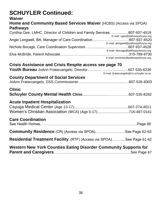# **SCHUYLER Continued:**

#### **Waiver**

### **Home and Community Based Services Waiver** (HCBS) (Access via SPOA) **Pathways**

| Cynthia Gee, LMHC, Director of Children and Family Services607-937-4519 | E-mail: cgee@pathwaysforyou.org          |
|-------------------------------------------------------------------------|------------------------------------------|
|                                                                         | E-mail: alongwell@pathwaysforyou.org     |
|                                                                         | E-mail: nbocage@pathwaysforyou.org       |
|                                                                         | E-mail: emcbride@pathwaysforyou.org      |
| Crisis Assistance and Crisis Respite access see page 70                 |                                          |
|                                                                         | E-mail: jfratarcangelo@co.schuyler.ny.us |
| <b>County Department of Social Services</b>                             |                                          |
| <b>Clinic</b>                                                           |                                          |
| <b>Acute Inpatient Hospitalization</b>                                  |                                          |
|                                                                         |                                          |
| Women's Christian Association (WCA) (Age 5-17)716-487-0141              |                                          |
| <b>Care Coordination</b>                                                |                                          |
|                                                                         |                                          |
| <b>Community Residence</b> (CR) (Access via SPOA)See Page 62-63         |                                          |
| Residential Treatment Facility (RTF) (Access via SPOA)See Page 61-62    |                                          |
| Western Nam Vark Associas Father Blooder Associate Arms of Arm          |                                          |

**Western New York Counties Eating Disorder Community Supports for Parent and Caregivers**………………………………………………………See Page 67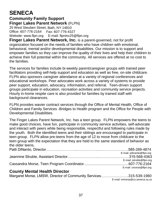# **SENECA**

#### **Community Family Support Finger Lakes Parent Network** (FLPN) 25 West Steuben Street, Bath, NY 14810 Office: 607-776-2164 Fax: 607-776-4327 Website: [www.flpn.org](http://www.flpn.org/) E-mail: [flpninc25@flpn.org](mailto:flpninc25@flpn.org)

**Finger Lakes Parent Network, Inc.** is a parent-governed, not for profit organization focused on the needs of families who have children with emotional, behavioral, mental and/or developmental disabilities. Our mission is to support and empower families so they can improve the quality of their lives and help their children to achieve their full potential within the community. All services are offered at no cost to the families.

The services for families include bi-weekly parent/caregiver groups with trained peer facilitators providing self-help support and education as well as free, on-site childcare. FLPN also sponsors caregiver attendance at a variety of regional conferences and educational workshops. Peer advocates work across a variety of systems to provide peer support, education, advocacy, information, and referral. Teen-driven support groups participate in education, recreation activities and community service projects. Hourly in-home respite care is also provided for families by trained staff with background clearances.

FLPN provides wavier contract services through the Office of Mental Health, Office of Children and Family Services -Bridges to Health program and the Office for People with Developmental Disabilities.

The Finger Lakes Parent Network, Inc. has a teen group. FLPN empowers the teens to make good choices, have fun, participate in community service activities, self-advocate and interact with peers while being responsible, respectful and following rules made by the youth. Both the identified teens and their siblings are encouraged to participate in teen group. FLPN allow pre-teens from the age of 12 to move from childcare to the teen group with the expectation that they are held to the same standard of behavior as the older teens.

| County Montal Hoolth Diroctor |                           |
|-------------------------------|---------------------------|
|                               | E-mail: cmorse@flpn.org   |
|                               |                           |
|                               | E-mail: jstruble@flpn.org |
|                               |                           |
|                               | E-mail: pdinardo@flpn.org |
|                               |                           |
|                               |                           |

#### **County Mental Health Director**

| Margaret Morse, LMSW, Director of Community Services315-539-1980 |  |  |                                |
|------------------------------------------------------------------|--|--|--------------------------------|
|                                                                  |  |  | E-mail: mmorse@co.seneca.ny.us |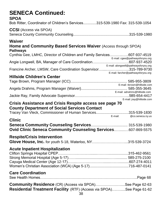# **SENECA Continued:**

#### **SPOA**

Bob Ritter, Coordinator of Children's Services.............315-539-1980 Fax: 315-539-1054

### **CCSI** (Access via SPOA)

Seneca County Community Counseling.......................................................315-539-1980

#### **Waiver**

#### **Home and Community Based Services Waiver** (Access through SPOA) **Pathways**

| Cynthia Gee, LMHC, Director of Children and Family Services607-937-4519 |                                      |
|-------------------------------------------------------------------------|--------------------------------------|
|                                                                         | E-mail: cgee@pathwaysforyou.org      |
|                                                                         |                                      |
|                                                                         | E-mail: alongwell@pathwaysforyou.org |
| Francine Archer, LMSW, Care Coordination Supervisor315-789-9730         |                                      |

E-mail: farcher@pathwaysforyou.org

E-mail: jray@hillside.com

# **Hillside Children's Center**

| E-mail: tbrown@hillside.com  |
|------------------------------|
|                              |
| E-mail: adrahms@hillside.com |
|                              |

#### **Crisis Assistance and Crisis Respite access see page 70 County Department of Social Services Contact**

| Tracey Van Vleck, Commissioner of Human Services315-539-1830 |         |                  |
|--------------------------------------------------------------|---------|------------------|
|                                                              | E-mail: | @co.seneca.ny.us |
| <b>Clinic</b>                                                |         |                  |

| --------                                                             |  |
|----------------------------------------------------------------------|--|
|                                                                      |  |
| <b>Ovid Clinic Seneca Community Counseling Services 607-869-5575</b> |  |

## **Respite/Crisis Intervention**

| Glove House, Inc. for youth 5-18, Waterloo, NY315-539-3724 |  |
|------------------------------------------------------------|--|
|------------------------------------------------------------|--|

#### **Acute Inpatient Hospitalization**

#### **Care Coordination**

| <b>Community Residence</b> (CR) (Access via SPOA)See Page 62-63 |  |
|-----------------------------------------------------------------|--|

**Residential Treatment Facility** (RTF) (Access via SPOA)….….....See Page 61-62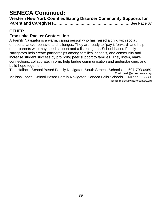# **SENECA Continued:**

| <b>Western New York Counties Eating Disorder Community Supports for</b> |  |
|-------------------------------------------------------------------------|--|
|                                                                         |  |

# **OTHER**

# **Franziska Racker Centers, Inc.**

A Family Navigator is a warm, caring person who has raised a child with social, emotional and/or behavioral challenges. They are ready to "pay it forward" and help other parents who may need support and a listening ear. School-based Family Navigators help create partnerships among families, schools, and community and increase student success by providing peer support to families. They listen, make connections, collaborate, inform, help bridge communication and understanding, and build hope together.

Tina Hallock, School Based Family Navigator, South Seneca Schools.…..607-793-0969 Email: tinah@rackercenters.org

Melissa Jones, School Based Family Navigator, Seneca Falls Schools.....607-592-5580 Email: melissaj@rackercenters.org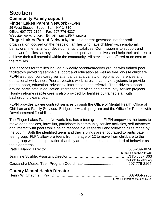# **Steuben**

## **Community Family support Finger Lakes Parent Network** (FLPN) 25 West Steuben Street, Bath, NY 14810

Office: 607-776-2164 Fax: 607-776-4327 Website: www.flpn.org E-mail: [flpninc25@flpn.org](mailto:flpninc25@flpn.org)

**Finger Lakes Parent Network, Inc.** is a parent-governed, not for profit organization focused on the needs of families who have children with emotional, behavioral, mental and/or developmental disabilities. Our mission is to support and empower families so they can improve the quality of their lives and help their children to achieve their full potential within the community. All services are offered at no cost to the families.

The services for families include bi-weekly parent/caregiver groups with trained peer facilitators providing self-help support and education as well as free, on-site childcare. FLPN also sponsors caregiver attendance at a variety of regional conferences and educational workshops. Peer advocates work across a variety of systems to provide peer support, education, advocacy, information, and referral. Teen-driven support groups participate in education, recreation activities and community service projects. Hourly in-home respite care is also provided for families by trained staff with background clearances.

FLPN provides wavier contract services through the Office of Mental Health, Office of Children and Family Services -Bridges to Health program and the Office for People with Developmental Disabilities.

The Finger Lakes Parent Network, Inc. has a teen group. FLPN empowers the teens to make good choices, have fun, participate in community service activities, self-advocate and interact with peers while being responsible, respectful and following rules made by the youth. Both the identified teens and their siblings are encouraged to participate in teen group. FLPN allow pre-teens from the age of 12 to move from childcare to the teen group with the expectation that they are held to the same standard of behavior as the older teens.

| E-mail: pdinardo@flpn.org |
|---------------------------|
|                           |
| E-mail: jstruble@flpn.org |
|                           |

# **County Mental Health Director**

|  | E-mail: hankc@co.steuben.ny.us |
|--|--------------------------------|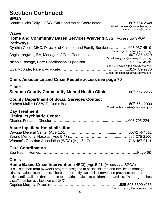# **Steuben Continued:**

**SPOA**

Bonnie Hicks-Tolly, LCSW, Child and Youth Coordinator…….…..…………607-664-2548 E-mail: bonnieh@co.steuben.ny.us E-mail: [cmorse@flpn.org](mailto:cmorse@flpn.org)

#### **Waiver Home and Community Based Services Waiver** (HCBS) (Access via SPOA) **Pathways**

| Cynthia Gee, LMHC, Director of Children and Family Services607-937-4519 |                                      |
|-------------------------------------------------------------------------|--------------------------------------|
|                                                                         | E-mail: cgee@pathwaysforyou.org      |
|                                                                         |                                      |
|                                                                         | E-mail: alongwell@pathwaysforyou.org |
|                                                                         |                                      |
|                                                                         | E-mail: nbocage@pathwaysforyou.org   |
|                                                                         |                                      |
|                                                                         | E-mail: emcbride@pathwaysforyou.org  |

# **Crisis Assistance and Crisis Respite access see page 70**

| <b>Clinic</b><br><b>Steuben County Community Mental Health Clinic607-664-2255</b> |                                        |
|-----------------------------------------------------------------------------------|----------------------------------------|
| <b>County Department of Social Services Contact</b>                               | E-mail: kathryn.muller@dfa.state.ny.us |
| <b>Day Treatment</b><br><b>Elmira Psychiatric Center</b>                          |                                        |
| <b>Acute Inpatient Hospitalization</b>                                            |                                        |
| <b>Care Coordination</b><br><b>Cricic</b>                                         |                                        |

# **Crisis**

**Home Based Crisis Intervention** (HBCI) (Age 5-21) (Access via SPOA) HBCI is a short term (6 week) program designed to assist children and families to manage crisis situations in the home. There are currently two crisis intervention providers and one office staff available that are able to provide services to children and families. The program has a staff member available on call 24/7. Caprice Murphy, Director…………………………………...…………….585-593-6300 x253

E-mail: cmurphy@rarservices.com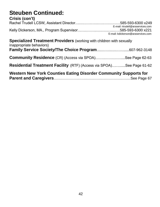# **Steuben Continued:**

#### **Crisis (con't)** Rachel Trudell LCSW, Assistant Director….……………………………585-593-6300 x249 E-mail: rtrudell@araservices.com Kelly Dickerson, MA., Program Supervisor………………………..……585-593-6300 x221 E-mail: kdickerson@araservices.com **Specialized Treatment Providers** (working with children with sexually inappropriate behaviors) **Family Service Society/The Choice Program**……………………...607-962-3148 **Community Residence** (CR) (Access via SPOA).........................See Page 62-63

# **Residential Treatment Facility** (RTF) (Access via SPOA)….….....See Page 61-62

| Western New York Counties Eating Disorder Community Supports for |  |
|------------------------------------------------------------------|--|
|                                                                  |  |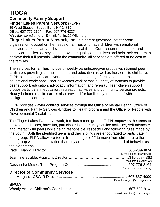# **TIOGA**

#### **Community Family Support Finger Lakes Parent Network** (FLPN) 25 West Steuben Street, Bath, NY 14810

Office: 607-776-2164 Fax: 607-776-4327 Website: [www.flpn.org](http://www.flpn.org/) E-mail: [flpninc25@flpn.org](mailto:flpninc25@flpn.org)

**Finger Lakes Parent Network, Inc.** is a parent-governed, not for profit organization focused on the needs of families who have children with emotional, behavioral, mental and/or developmental disabilities. Our mission is to support and empower families so they can improve the quality of their lives and help their children to achieve their full potential within the community. All services are offered at no cost to the families.

The services for families include bi-weekly parent/caregiver groups with trained peer facilitators providing self-help support and education as well as free, on-site childcare. FLPN also sponsors caregiver attendance at a variety of regional conferences and educational workshops. Peer advocates work across a variety of systems to provide peer support, education, advocacy, information, and referral. Teen-driven support groups participate in education, recreation activities and community service projects. Hourly in-home respite care is also provided for families by trained staff with background clearances.

FLPN provides wavier contract services through the Office of Mental Health, Office of Children and Family Services -Bridges to Health program and the Office for People with Developmental Disabilities.

The Finger Lakes Parent Network, Inc. has a teen group. FLPN empowers the teens to make good choices, have fun, participate in community service activities, self-advocate and interact with peers while being responsible, respectful and following rules made by the youth. Both the identified teens and their siblings are encouraged to participate in teen group. FLPN allow pre-teens from the age of 12 to move from childcare to the teen group with the expectation that they are held to the same standard of behavior as the older teens.

| E-mail: pdinardo@flpn.org |
|---------------------------|
|                           |
| E-mail: jstruble@flpn.org |
|                           |
| E-mail: cmorse@flpn.org   |

# **Director of Community Services**

Lori Morgan, LCSW-R Director...........……….…......................................... 607-687-4000 E-mail: [morganl@co.tioga.ny.us](mailto:morganl@co.tioga.ny.us)

# **SPOA**

|  | E-mail: arnoldw@co.tioga.ny.us |
|--|--------------------------------|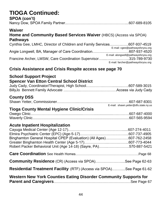# **TIOGA Continued:**

# **SPOA (con't)**

Nancy Dow, SPOA Family Partner..…………………………………………...607-689-8105

#### **Waiver**

# **Home and Community Based Services Waiver** (HBCS) (Access via SPOA) **Pathways**

| Cynthia Gee, LMHC, Director of Children and Family Services607-937-4519 |                                      |
|-------------------------------------------------------------------------|--------------------------------------|
|                                                                         | E-mail: cgee@pathwaysforyou.org      |
|                                                                         |                                      |
|                                                                         | E-mail: alongwell@pathwaysforyou.org |
| Francine Archer, LMSW, Care Coordination Supervisor315-789-9730         |                                      |
|                                                                         | E-mail: farcher@pathwaysforyou.org   |
|                                                                         |                                      |

# **Crisis Assistance and Crisis Respite access see page 70**

# **School Support Project**

# **Spencer Van Etton Central School District**

# **County DSS**

|  | E-mail: shawn.yetter@dfs.state.ny.us |
|--|--------------------------------------|

# **Tioga County Mental Hygiene Clinic/Crisis**

# **Acute Inpatient Hospitalization**

| Binghamton General Hospital CPEP (Evaluation) (All Ages)607-762-2458        |  |
|-----------------------------------------------------------------------------|--|
|                                                                             |  |
| Robert Packer Behavioral Unit (Age 14-18) (Sayre, PA)570-887-5421           |  |
|                                                                             |  |
| <b>Community Residence</b> (CR) (Access via SPOA)See Page 62-63             |  |
| <b>Residential Treatment Facility</b> (RTF) (Access via SPOA)See Page 61-62 |  |
| Western New York Counties Eating Disorder Community Supports for            |  |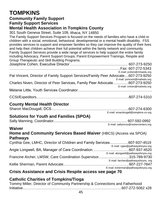# **TOMPKINS**

# **Community Family Support**

**Family Support Services**

# **Mental Health Association in Tompkins County**

301 South Geneva Street, Suite 109, Ithaca, NY 14850

The Family Support Services Program is focused on the needs of families who have a child or children with a social, emotional, behavioral, developmental or a mental health disability. FSS provides services to support and empower families so they can improve the quality of their lives and help their children achieve their full potential within the family network and community. Family Support Services provide a wide range of services to help support the entire family including Advocacy, Parent Support Groups, Parent Empowerment Trainings, Respite and Group Therapeutic and Skill Building Programs.

|                                                                                   | E-mail: jcohen@mhaedu.org   |
|-----------------------------------------------------------------------------------|-----------------------------|
| Pat Vincent, Director of Family Support Services/Family Peer Advocate607-273-9250 |                             |
|                                                                                   | E-mail: pvincent@mahedu.org |
| Charles Niven, Director of Peer Services, Family Peer Advocate607-273-9250        |                             |
|                                                                                   | E-mail: cniven@mahedu.org   |
|                                                                                   |                             |
|                                                                                   |                             |

### CCSI/Expeditors………………………………………………………………….607-274-5310

# **County Mental Health Director**

|  | E-mail: smacdougall@tompkins-co.org |
|--|-------------------------------------|

# **Solutions for Youth and Families (SPOA)**

|  | E-mail: sallymcss@rackercenters.org |
|--|-------------------------------------|

#### **Waiver**

# **Home and Community Services Based Waiver** (HBCS) (Access via SPOA) **Pathways**

| Cynthia Gee, LMHC, Director of Children and Family Services607-937-4519 |                                      |
|-------------------------------------------------------------------------|--------------------------------------|
|                                                                         | E-mail: cgee@pathwaysforyou.org      |
|                                                                         |                                      |
|                                                                         | E-mail: alongwell@pathwaysforyou.org |
| Francine Archer, LMSW, Care Coordination Supervisor315-789-9730         |                                      |
|                                                                         | E-mail: farcher@pathwaysforyou .org  |
|                                                                         |                                      |
|                                                                         | E-mail: ksherman@pathwaysforyou.org  |
|                                                                         |                                      |

# **Crisis Assistance and Crisis Respite access see page 70**

# **Catholic Charities of Tompkins/Tioga**

| Tommy Miller, Director of Community Partnership & Connections and Fatherhood |  |
|------------------------------------------------------------------------------|--|
|                                                                              |  |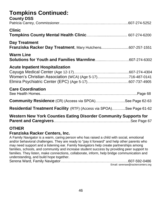# **Tompkins Continued:**

| <b>County DSS</b>                                                                                    |  |
|------------------------------------------------------------------------------------------------------|--|
| <b>Clinic</b>                                                                                        |  |
| <b>Day Treatment</b><br>Franziska Racker Day Treatment, Mary Hutchens607-257-1551                    |  |
| <b>Warm Line</b><br>Solutions for Youth and Families Warmline607-274-6302                            |  |
| <b>Acute Inpatient Hospitalization</b><br>Women's Christian Association (WCA) (Age 5-17)716-487-0141 |  |
| <b>Care Coordination</b>                                                                             |  |
| <b>Community Residence</b> (CR) (Access via SPOA)See Page 62-63                                      |  |
| <b>Residential Treatment Facility</b> (RTF) (Access via SPOA)See Page 61-62                          |  |
| Western New York Counties Eating Disorder Community Supports for                                     |  |

# **OTHER**

#### **Franziska Racker Centers, Inc.**

A Family Navigator is a warm, caring person who has raised a child with social, emotional and/or behavioral challenges. They are ready to "pay it forward" and help other parents who may need support and a listening ear. Family Navigators help create partnerships among families, schools, and community and increase student success by providing peer support to families. They listen, make connections, collaborate, inform, help bridge communication and understanding, and build hope together.

Serena Ward, Family Navigator………………………………………………..607-592-0486

Email: serenaw@rackercenters.org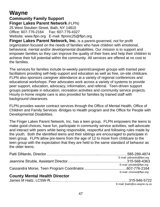# **Wayne**

#### **Community Family Support Finger Lakes Parent Network** (FLPN) 25 West Steuben Street, Bath, NY 14810 Office: 607-776-2164 Fax: 607-776-4327 Website: [www.flpn.org](http://www.flpn.org/) E-mail: [flpninc25@flpn.org](mailto:lpninc25@flpn.org)

**Finger Lakes Parent Network, Inc.** is a parent-governed, not for profit organization focused on the needs of families who have children with emotional, behavioral, mental and/or developmental disabilities. Our mission is to support and empower families so they can improve the quality of their lives and help their children to achieve their full potential within the community. All services are offered at no cost to the families.

The services for families include bi-weekly parent/caregiver groups with trained peer facilitators providing self-help support and education as well as free, on-site childcare. FLPN also sponsors caregiver attendance at a variety of regional conferences and educational workshops. Peer advocates work across a variety of systems to provide peer support, education, advocacy, information, and referral. Teen-driven support groups participate in education, recreation activities and community service projects. Hourly in-home respite care is also provided for families by trained staff with background clearances.

FLPN provides wavier contract services through the Office of Mental Health, Office of Children and Family Services -Bridges to Health program and the Office for People with Developmental Disabilities.

The Finger Lakes Parent Network, Inc. has a teen group. FLPN empowers the teens to make good choices, have fun, participate in community service activities, self-advocate and interact with peers while being responsible, respectful and following rules made by the youth. Both the identified teens and their siblings are encouraged to participate in teen group. FLPN allow pre-teens from the age of 12 to move from childcare to the teen group with the expectation that they are held to the same standard of behavior as the older teens.

| E-mail: pdinardo@flpn.org |
|---------------------------|
|                           |
| E-mail: jstruble@flpn.org |
|                           |
| E-mail: cmorse@flpn.org   |
|                           |

# **County Mental Health Director**

| E-mail: jhaitz@co.wayne.ny.us |
|-------------------------------|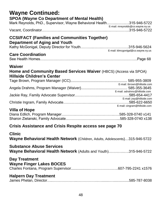| <b>Wayne Continued:</b>                                                                                                    |                                    |  |  |
|----------------------------------------------------------------------------------------------------------------------------|------------------------------------|--|--|
| <b>SPOA (Wayne Co Department of Mental Health)</b><br>Mark Reynolds, PhD., Supervisor, Wayne Behavioral Health315-946-5722 |                                    |  |  |
|                                                                                                                            | E-mail: mreynolds@co.wayne.ny.us   |  |  |
| <b>CCSI/FACT (Families and Communities Together)</b><br><b>Department of Aging and Youth</b>                               |                                    |  |  |
| <b>Care Coordination</b>                                                                                                   | E-mail: klmcgonigal@co.wayne.ny.us |  |  |
| Waiver<br><b>Home and Community Based Services Waiver (HBCS) (Access via SPOA)</b><br><b>Hillside Children's Center</b>    |                                    |  |  |
|                                                                                                                            | E-mail: tbrown@hillside.com        |  |  |
|                                                                                                                            | E-mail: adrahms@hillside.com       |  |  |
|                                                                                                                            | E-mail: jray@hillside.com          |  |  |
| <b>Villa of Hope</b>                                                                                                       | E-mail: cingram@hillside.com       |  |  |
| Crisis Assistance and Crisis Respite access see page 70                                                                    |                                    |  |  |
| <b>Clinic</b><br>Wayne Behavioral Health Network (Children, Adults, Adolescents)315-946-5722                               |                                    |  |  |
| <b>Substance Abuse Services</b><br><b>Wayne Behavioral Health Network</b> (Adults and Youth)315-946-5722                   |                                    |  |  |
| <b>Day Treatment</b><br><b>Wayne Finger Lakes BOCES</b>                                                                    |                                    |  |  |

#### **Halpern Day Treatment** James Phelan, Director…..………………...……………..…........…...............585-787-8038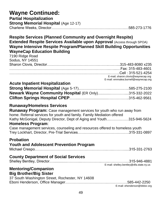# **Wayne Continued:**

#### **Partial Hospitalization Strong Memorial Hospital (Age 12-17)** Charlene Weeks, Director……………..………………………….………….…585-273-1776

#### **Respite Services (Planned Community and Overnight Respite) Extended Respite Services Available upon Approval** (Access through SPOA) **Wayne Intensive Respite Program/Planned Skill Building Opportunities WayneCap Education Building**

| 7190 Ridge Road |                                      |
|-----------------|--------------------------------------|
| Sodus, NY 14551 |                                      |
|                 |                                      |
|                 |                                      |
|                 |                                      |
|                 | E-mail; sharon.clovis@waynecap.org   |
|                 | E-mail: emmalea.burnell@waynecap.org |

# **Acute Inpatient Hospitalization**

| Newark Wayne Community Hospital (ER Only)315-332-2022 |  |
|-------------------------------------------------------|--|
|                                                       |  |

## **Runaway/Homeless Services**

| <b>Runaway Program:</b> Case management services for youth who run away from<br>home. Referral services for youth and family. Family Mediation offered<br>Kathy McGonigal, Deputy Director, Dept of Aging and Youth315-946-5624<br><b>Homeless Program:</b><br>Case management services, counseling and resources offered to homeless youth |  |
|---------------------------------------------------------------------------------------------------------------------------------------------------------------------------------------------------------------------------------------------------------------------------------------------------------------------------------------------|--|
| <b>Probation</b><br><b>Youth and Adolescent Prevention Program</b>                                                                                                                                                                                                                                                                          |  |
| <b>County Department of Social Services</b><br>E-mail: shelley.bentley@dfa.state.ny.us<br><b>Mentoring/Companion</b><br><b>Big Brother/Big Sister</b>                                                                                                                                                                                       |  |
| 37 South Washington Street, Rochester, NY 14608                                                                                                                                                                                                                                                                                             |  |

E-mail: ehenderson@bbbsr.org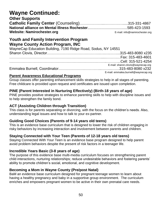# **Wayne Continued:**

### **Other Supports**

| <b>Website: Namirochester.org</b> | E-mail: info@namirochester.org |
|-----------------------------------|--------------------------------|

## **Youth and Family Intervention Program Wayne County Action Program, INC**

| WayneCap Education Building, 7190 Ridge Road, Sodus, NY 14551 |                                      |
|---------------------------------------------------------------|--------------------------------------|
|                                                               |                                      |
|                                                               |                                      |
|                                                               |                                      |
|                                                               | E-mail: sharon.clovis@waynecap.org   |
|                                                               |                                      |
|                                                               | E-mail: emmalea.burnell@waynecap.org |

#### **Parent Awareness Educational Programs**

Group classes offer parenting enhancement skills strategies to help in all stages of parenting. Free childcare is provided upon request and certificates are issued upon completion.

### **PINE (Parent Interested in Nurturing Effectively) (Birth-18 years of age)**

PINE provides positive strategies to enhance parenting skills to help with discipline issues and to help strengthen the family bond.

#### **ACT (Assisting Children through Transition)**

This class is for parents separating or divorcing, with the focus on the children's needs. Also, understanding legal issues and how to talk to your ex-partner.

#### **Guiding Good Choices (Parents of 9-14 years old teens)**

This is an evidence base curriculum that is designed to lower the risk of children engaging in risky behaviors by increasing interaction and involvement between parents and children.

#### **Staying Connected with Your Teen (Parents of 12-18 years old teens)**

Staying Connected With Your Teen is an evidence base program designed to help parent avoid problem behaviors despite the present of risk factors in a teenager life.

#### **Incredible Years Basic (3-8 years of age)**

The purpose of this evidence base multi-media curriculum focuses on strengthening parent child interactions, nurturing relationships; reduce undesirable behaviors and fostering parents' ability to promote children's social, emotional, and cognitive development.

#### **Becoming a Mom in Wayne County (Pre/post Natal)**

BaM an evidence base curriculum designed for pregnant teenage women to learn about having a healthy pregnancy and baby in a supportive group environment. The curriculum enriches and empowers pregnant women to be active in their own prenatal care needs.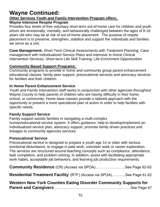# **Wayne Continued:**

#### **Other Services Youth and Family Intervention Program offers:**

#### **Wayne Intensive Respite Program**

Provides four levels of free voluntary short-term out-of-home care for children and youth whom are emotionally, mentally, and behaviorally challenged between the ages of 8-18 years old who may be at risk of out-of-home placement. The purpose of respite placement is to preserve, strengthen, stabilize and support the individuals and families we serve as a unit.

**Case Management;** Short-Term Clinical Assessments with Treatment Planning; Case management with Individualized Service Plans and Intensive In-home Clinical Intervention Services; Short-term Life Skill Training; Life Enrichment Opportunities

#### **Community Based Support Programs:**

Community programs to provide in home and community group parent enhancement educational classes, family peer support, prevocational services and advocacy services for families and their children.

#### **In Home Parent Enhancement Service**

Youth and Family Intervention staff works in conjunction with other agencies throughout Wayne County to help parents of children who are having difficulty in their home, school, or community. Home base classes provide a tailored approach with the opportunity to present a more specialized plan of action in order to help families with specific needs.

#### **Family Support Service**

Family support assists families in navigating a multi-complex human/educational service system. It offers guidance, help to develop/implement an individualized service plan, advocacy support, promote family driven practices and linkages to community agencies services.

#### **Prevocational Service**

Prevocational service is designed to prepare a youth age 14 or older with serious emotional disturbance, to engage in paid work, volunteer work or career exploration. The services are structured around teaching concepts such as compliance, attendance, task completion, and problem solving, In addition, assist with facilitating appropriate work habits, acceptable job behaviors, and learning job production requirements.

| <b>Community Residence</b> (CR) (Access via SPOA)See Page 62-63 |  |
|-----------------------------------------------------------------|--|
|                                                                 |  |

**Residential Treatment Facility** (RTF) (Access via SPOA)….….....See Page 61-62

| Western New York Counties Eating Disorder Community Supports for |  |
|------------------------------------------------------------------|--|
|                                                                  |  |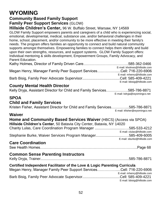# **WYOMING**

# **Community Based Family Support**

#### **Family Peer Support Services** (GLOW)

**Hillside Children's Center,** 96 W. Buffalo Street, Warsaw, NY 14569

GLOW Family Support empowers parents and caregivers of a child who is experiencing social, emotional, developmental, medical, substance use, and/or behavioral challenges in their home, school, placement, and/or community to be more effective in meeting their family's needs. The program offers families an opportunity to connect and build natural community supports amongst themselves. Empowering families to connect helps them identify and build upon their own strengths, resources, and support systems. GLOW Family Support offers: Individual mentoring & skills development, Empowerment Groups, Family Advocacy, and Parent Education.

|                                                                     | E-mail: kholmes@hillside.com |
|---------------------------------------------------------------------|------------------------------|
| Megan Henry, Manager Family Peer Support ServicesCell: 716-220-6906 |                              |
|                                                                     | E-mail: mhenry@hillside.com  |
|                                                                     |                              |
|                                                                     | E-mail: bbisig@hillside.com  |

#### **County Mental Health Director**

| Kelly Dryja, Assistant Director for Child and Family Services585-786-8871 |                              |
|---------------------------------------------------------------------------|------------------------------|
|                                                                           | E-mail: kdryja@wyomingco.net |

# **SPOA**

## **Child and Family Services**

Kristen Fisher, Assistant Director for Child and Family Services…………...585-786-8871 E-mail: kfisher@wyomingco.net

#### **Waiver**

| Home and Community Based Services Waiver (HBCS) (Access via SPOA)     |                             |  |
|-----------------------------------------------------------------------|-----------------------------|--|
| Hillside Children's Center, 50 Batavia City Center, Batavia, NY 14020 |                             |  |
| Charity Lulas, Care Coordination Program Manager 585-533-4212         |                             |  |
|                                                                       | E-mail: clulas@hillside.com |  |
| Stephanie Burke, Waiver Services Program Manager585-409-6005          |                             |  |
|                                                                       | E-mail: sburke@hillside.com |  |
| Caro Coordination                                                     |                             |  |

# **Care Coordination**

See Health Homes……………………………………………………………………..Page 68

# **Common Sense Parenting Instructors**

Kelly Dryja, Trainer.......................................................................................585-786-8871 **Certified Independent Facilitator of the Love & Logic Parenting Curricula** Megan Henry, Manager Family Peer Support Services…………….....Cell: 716-220-6906 E-mail: mhenry@hillside.com Barb Bisig, Family Peer Advocate Supervisor.....................................Cell: 585-409-4221

E-mail: bbisig@hillside.com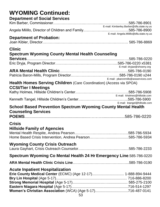# **WYOMING Continued:**

# **Department of Social Services**

|                                 | E-mail: Kimberley.Barber@dfa.state.ny.us |
|---------------------------------|------------------------------------------|
|                                 |                                          |
|                                 | E-mail: Angela.Milillo@dfa.state.ny.us   |
| <b>Department of Probation:</b> |                                          |
|                                 |                                          |

#### **Clinic**

| <b>Spectrum Wyoming County Mental Health Counseling</b>              |                                     |
|----------------------------------------------------------------------|-------------------------------------|
|                                                                      |                                     |
|                                                                      |                                     |
|                                                                      | E-mail: dryjae@shswny.org           |
|                                                                      |                                     |
|                                                                      |                                     |
|                                                                      | E-mail: pbaronmills@araservices.com |
| Health Homes Serving Children (Care Coordination) (Access via SPOA)  |                                     |
| <b>CCSI/Tier I Meetings</b>                                          |                                     |
|                                                                      |                                     |
|                                                                      | E-mail: kholmes@hillside.com        |
|                                                                      |                                     |
|                                                                      | E-mail: ktangel@hillside.com        |
| <b>School Based Prevention Spectrum Wyoming County Mental Health</b> |                                     |
| <b>Counseling Services</b>                                           |                                     |
|                                                                      |                                     |
|                                                                      |                                     |
| <b>Crisis</b>                                                        |                                     |
| <b>Hillside Family of Agencies</b>                                   |                                     |
|                                                                      |                                     |
|                                                                      |                                     |
|                                                                      |                                     |
| <b>Wyoming County Crisis Outreach</b>                                |                                     |
|                                                                      |                                     |
| Spectrum Wyoming Co Mental Health 24 Hr Emergency Line.585-786-0220  |                                     |
|                                                                      |                                     |
| <b>Acute Inpatient Hospitalization</b>                               |                                     |
| Erie County Medical Center (ECMC) (Age 12-17) 1-888-894-9444         |                                     |
|                                                                      |                                     |
|                                                                      |                                     |
|                                                                      |                                     |
|                                                                      |                                     |
| Women's Christian Association (WCA) (Age 5-17)716-487-0141<br>E?     |                                     |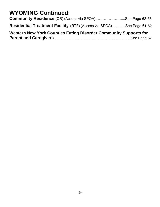# **WYOMING Continued:**

| Western New York Counties Eating Disorder Community Supports for     |  |
|----------------------------------------------------------------------|--|
| Residential Treatment Facility (RTF) (Access via SPOA)See Page 61-62 |  |
| <b>Community Residence</b> (CR) (Access via SPOA)See Page 62-63      |  |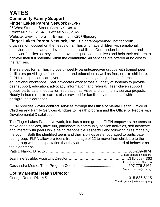# **YATES**

#### **Community Family Support Finger Lakes Parent Network** (FLPN) 25 West Steuben Street, Bath, NY 14810 Office: 607-776-2164 Fax: 607-776-4327 Website: [www.flpn.org](http://www.flpn.org/) E-mail: [flpninc25@flpn.org](mailto:flpninc25@flpn.org)

**Finger Lakes Parent Network, Inc.** is a parent-governed, not for profit organization focused on the needs of families who have children with emotional, behavioral, mental and/or developmental disabilities. Our mission is to support and empower families so they can improve the quality of their lives and help their children to achieve their full potential within the community. All services are offered at no cost to the families.

The services for families include bi-weekly parent/caregiver groups with trained peer facilitators providing self-help support and education as well as free, on-site childcare. FLPN also sponsors caregiver attendance at a variety of regional conferences and educational workshops. Peer advocates work across a variety of systems to provide peer support, education, advocacy, information, and referral. Teen-driven support groups participate in education, recreation activities and community service projects. Hourly in-home respite care is also provided for families by trained staff with background clearances.

FLPN provides wavier contract services through the Office of Mental Health, Office of Children and Family Services -Bridges to Health program and the Office for People with Developmental Disabilities.

The Finger Lakes Parent Network, Inc. has a teen group. FLPN empowers the teens to make good choices, have fun, participate in community service activities, self-advocate and interact with peers while being responsible, respectful and following rules made by the youth. Both the identified teens and their siblings are encouraged to participate in teen group. FLPN allow pre-teens from the age of 12 to move from childcare to the teen group with the expectation that they are held to the same standard of behavior as the older teens.

|                                      | E-mail: pdinardo@flpn.org |
|--------------------------------------|---------------------------|
|                                      |                           |
|                                      | E-mail: jstruble@flpn.org |
|                                      |                           |
|                                      | E-mail: cmorse@flpn.org   |
| <b>County Mental Health Director</b> |                           |
|                                      |                           |

E-mail: [groets@yatescounty.org](mailto:groets@yatescounty.org)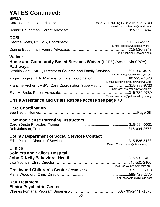# **YATES Continued:**

# **SPOA**

| E-mail: carolschreiner@gmail.com |
|----------------------------------|
|                                  |

# **CCSI**

| E-mail: groets@yatescounty.org |
|--------------------------------|
|                                |
| E-mail: conniec49@yahoo.com    |

#### **Waiver**

# **Home and Community Based Services Waiver** (HCBS) (Access via SPOA) **Pathways**

| Cynthia Gee, LMHC, Director of Children and Family Services607-937-4519 |                                      |
|-------------------------------------------------------------------------|--------------------------------------|
|                                                                         | E-mail: cgee@pathwaysforyou.org      |
|                                                                         |                                      |
|                                                                         | E-mail: alongwell@pathwaysforyou.org |
| Francine Archer, LMSW, Care Coordination Supervisor315-789-9730         |                                      |
|                                                                         | E-mail: farcher@pathwaysforyou.org   |
|                                                                         |                                      |
|                                                                         | E-mail: emcbride@pathwaysforyou.org  |

# **Crisis Assistance and Crisis Respite access see page 70**

# **Care Coordination**

|--|--|--|--|--|

#### **Common Sense Parenting Instructors**

# **County Department of Social Services Contact**

|  | E-mail: Erica.putnam@dfa.state.ny.us |
|--|--------------------------------------|

#### **Clinics**

| <b>Soldiers and Sailors Hospital</b> |                                  |
|--------------------------------------|----------------------------------|
|                                      |                                  |
|                                      |                                  |
|                                      | E-mail: lisa.youngs@slhealth.org |
|                                      |                                  |
|                                      |                                  |
|                                      | E-mail: mwoodford@hillside.com   |
| Dou Trootmont                        |                                  |

#### **Day Treatment Elmira Psychiatric Center**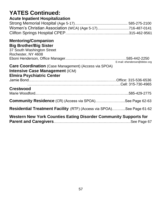# **YATES Continued:**

# **Acute Inpatient Hospitalization**

| Women's Christian Association (WCA) (Age 5-17)716-487-0141 |  |
|------------------------------------------------------------|--|
|                                                            |  |

#### **Mentoring/Companion Big Brother/Big Sister**

| Western New York Counties Eating Disorder Community Supports for                                                                           |                              |
|--------------------------------------------------------------------------------------------------------------------------------------------|------------------------------|
| <b>Residential Treatment Facility</b> (RTF) (Access via SPOA)See Page 61-62                                                                |                              |
| <b>Community Residence</b> (CR) (Access via SPOA)See Page 62-63                                                                            |                              |
| <b>Crestwood</b>                                                                                                                           |                              |
|                                                                                                                                            |                              |
| <b>Care Coordination</b> (Case Management) (Access via SPOA)<br><b>Intensive Case Management (ICM)</b><br><b>Elmira Psychiatric Center</b> |                              |
| 37 South Washington Street<br>Rochester, NY 4608                                                                                           | E-mail: ehenderson@bbbsr.org |
|                                                                                                                                            |                              |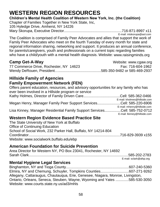# **WESTERN REGION RESOURCES**

**Children's Mental Health Coalition of Western New York, Inc. (the Coalition)**

Chapter of Families Together in New York State, Inc, 105 Hyledge Drive, Amherst, NY 14226 Mary Skorupa, Executive Director.........................................................716-871-8997 x11

E-mail: [mtskorupa@aol.com](mailto:mtskorupa@aol.com)

The Coalition is comprised of Family Peer Advocates and allies that support the work of Family Peer Advocates who meet on the fourth Tuesday of every month for state and regional information sharing, networking and support. It produces an annual conference, for parents/caregivers, youth and professionals on a current topic regarding families who have a child/youth with a mental health diagnosis. Website: [www.raisingminds.org](http://www.raisingminds.org/)

#### **Camp Get-A-Way Camp Get-A-Way Website: [www.cgaw.org](http://www.cgaw.org/)**

77 Commerce Drive, Rochester, NY 14623 Fax: 716-604-1962 Wendy DeRouen, President…..........................................585-350-9482 or 585-469-2937

# **Hillside Family of Agencies Family Empowerment Network (FEN)**

Offers parent education, resources, and advisory opportunities for any family who has ever been involved in a Hillside program or service Kathy Holmes, Director of Family Driven Care....................................Cell: 585-362-0466 E-mail: kholmes@hillside.com Megan Henry, Manager Family Peer Support Services.......................Cell: 585-220-6906 E-mail: mhenry@hillside.com Lisa Kinney, Manager Residential Family Support Services................Cell: 585-752-0712 E-mail: lkinney@hillside.com

# **Western Region Evidence Based Practice Site**

The State University of New York at Buffalo Office of Continuing Education School of Social Work, 232 Parker Hall, Buffalo, NY 14214-804 Coordinator..........................................................................................716-829-3939 x155 Website: [www.socialwork.buffalo.edu/ebp](http://www.socialwork.buffalo.edu/ebp)

# **American Foundation for Suicide Prevention**

Area Director for Western NY, PO Box 23041, Rochester, NY 14692 Sarah Clark..................................................................................................585-202-2783 E-mail: [sclark@afsp.org](mailto:sclark@afsp.org)

# **Mental Hygiene Legal Services**

Binghamton, NY and Tioga County..............................................................607-240-5360 Elmira, NY and Chemung, Schuyler, Tompkins Counties............................607-271-9262 Allegany, Cattaraugus, Chautauqua, Erie, Genesee, Niagara, Monroe, Livingston, Ontario, Orleans, Seneca, Steuben, Wayne, Wyoming and Yates .............585-530-3050 Website: www.courts.state.ny.us/ad3/mhls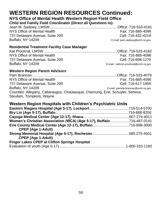#### **NYS Office of Mental Health Western Region Field Office**

**Child and Family Field Coordinator (Direct all Questions to):**

Jean M. Sadowy, LMSW...................................................................Office: 716-533-4181 NYS Office of Mental Health **Fax: 716-885-4096** 737 Delaware Avenue, Suite 200 Cell: 716-432-4219 Buffalo, NY 14209 E-mail[: jean.sadowy@omh.ny.gov](mailto:jean.sadowy@omh.ny.gov)

#### **Residential Treatment Facility Case Manager**

Kat Procknal, LMSW.........................................................................Office: 716-533-4182 NYS Office of Mental Health **Fax: 716-885-4096** 737 Delaware Avenue, Suite 200 Cell: 716-698-1270 Buffalo, NY 14209 E-mail: kathryn.prockn[al@omh.ny.gov](mailto:elaine.anderson@omh.ny.gov)

#### **Western Region Parent Advisors**

Pam Brannan....................................................................................Office: 716-533-4079 NYS Office of Mental Health **Fax: 716-885-4096** 737 Delaware Avenue, Suite 200 Cell: 716-517-1905 Buffalo, NY 14209 E-mail: pamela.brannan@omh.ny.gov Counties: Allegany, Cattaraugus, Chautauqua, Chemung, Erie, Schuyler, Seneca, Steuben, Tompkins, Wayne

# **Western Region Hospitals with Children's Psychiatric Units**

| Women's Christian Association (WCA) (Age 5-17), Buffalo716-487-0141 |  |
|---------------------------------------------------------------------|--|
|                                                                     |  |
| <b>CPEP (Age 1-Adult)</b>                                           |  |
|                                                                     |  |
| <b>CPEP (Age 1-Adult)</b>                                           |  |
| <b>Finger Lakes CPEP at Clifton Springs Hospital</b>                |  |
|                                                                     |  |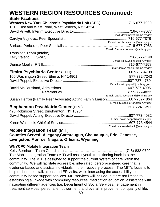#### **State Facilities**

| Western New York Children's Psychiatric Unit (CPC)716-677-7000        |                                      |
|-----------------------------------------------------------------------|--------------------------------------|
| 1010 East and West Road, West Seneca, NY 14224                        |                                      |
|                                                                       |                                      |
|                                                                       | E-mail: david.privett@omh.ny.gov     |
|                                                                       |                                      |
|                                                                       | E-mail: carolyn.vujnovic@omh.ny.gov  |
|                                                                       |                                      |
|                                                                       | E-mail: Barbara.pericozzi@omh.ny.gov |
| <b>Transition Team (Intake)</b>                                       |                                      |
|                                                                       |                                      |
|                                                                       | E-mail: Kelly.valenti@omh.ny.gov     |
|                                                                       |                                      |
|                                                                       | E-mail: denise.moeller@omh.ny.gov    |
|                                                                       |                                      |
| 100 Washington Street, Elmira, NY 14901                               | 877-372-7243                         |
|                                                                       |                                      |
|                                                                       | E-mail: david.peppel@omh.ny.gov      |
|                                                                       |                                      |
|                                                                       |                                      |
|                                                                       | E-mail: david.mccausland@omh.ny.gov  |
| Susan Herron (Family Peer Advocate) Acting Family Liaison607-737-4864 |                                      |
|                                                                       | E-mail: Susan.Herron@omh.ny.gov      |
|                                                                       |                                      |
| 425 Robinson Street, Binghamton, NY 13904                             |                                      |
|                                                                       |                                      |
|                                                                       | E-mail: david.peppel@omh.ny.gov      |
|                                                                       |                                      |
|                                                                       | E-mail: Karen.whitbeck@omh.ny.gov    |

#### **Mobile Integration Team (MIT) Counties Served: Allegany,Cattaraugus, Chautauqua, Erie, Genesee, Livingston, Monroe, Niagara, Orleans, Wyoming**

#### **WNYCPC Mobile Integration Team**

Kelly Bernhard, Team Coordinator…………………………………………..(716) 832-0720 The Mobile Integration Team (MIT) will assist youth transitioning back into the community. The MIT is designed to support the current system of care within the community. We will facilitate accessible, integrated, person-centered care that is evidence-based and assists individuals in their recovery process. The MIT's focus is to help reduce hospitalizations and ER visits, while increasing the accessibility to community-based support services. MIT services will include, but are not limited to: establishing a linkage with community resources, medication education, assistance with navigating different agencies (i.e. Department of Social Services,) engagement in treatment services, personal empowerment, and overall improvement of quality of life.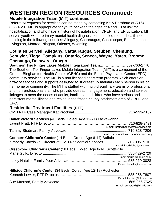# **WESTERN REGION RESOURCES Continued: Mobile Integration Team (MIT) continued**

Referrals/Requests for services can be made by contacting Kelly Bernhard at (716) 832-0720. MIT is appropriate for youth between the ages of 4 and 18 at risk for hospitalization and who have a history of hospitalization, CPEP, and ER utilization. MIT serves youth with a primary mental health diagnosis or identified mental health need residing in the following counties: Allegany, Cattaraugus, Chautauqua, Erie, Genesee, Livingston, Monroe, Niagara, Orleans, Wyoming.

#### **Counties Served: Allegany, Cattauraugua, Steuben, Chemung, Schuyler, Tioga, Tompkins, Ontario, Seneca, Wayne, Yates, Broome, Chenango, Delaware, Otsego**

**Southern Tier Finger Lakes Mobile Integration Team.**…………………607-763-2770 The Southern Tier Finger Lakes Mobile Integration Team (MIT) is a component of the Greater Binghamton Health Center (GBHC) and the Elmira Psychiatric Center (EPC) community services. The MIT is a non-licensed short term program which offers an array of services and supports designed to successfully maintain each person in his or her home or community. The MIT is staffed with multi-disciplinary teams of professional and non-professional staff who provide outreach, engagement, education and service linkages to meet the needs of adults, families and children who have serious and persistent mental illness and reside in the fifteen-county catchment area of GBHC and EPC.

#### **Residential Treatment Facilities** (RTF)

| Baker Victory Services (40 Beds, Co-ed, Age 12-21) Lackawanna        |                                           |
|----------------------------------------------------------------------|-------------------------------------------|
|                                                                      |                                           |
|                                                                      | E-mail: jpratt@bakervictoryservices.org   |
|                                                                      |                                           |
|                                                                      | E-mail: tstedman@bakervictoryservices.org |
| Conners Children's Center (14 Beds, Co-ed, Age 6-14) Buffalo         |                                           |
| Kimberly Kadziolka, Director of OMH Residential Services716-335-7310 |                                           |
|                                                                      | E-mail: kkadziolka@cfsbny.org             |
| Crestwood Children's Center (18 Beds, Co-ed, Age 6-14) Scottsville   |                                           |
|                                                                      | .585-429-2729                             |
|                                                                      | E-mail: mgullo@hillside.com               |
|                                                                      |                                           |
|                                                                      | E-mail: Inatello@hillside.com             |
| Hillside Children's Center (34 Beds, Co-ed, Age 12-18) Rochester     |                                           |
|                                                                      | .585-256-7807                             |
|                                                                      | E-mail: klewter@hillside.com              |
|                                                                      |                                           |
|                                                                      | E-mail: smustard@hillside.com             |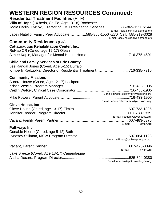# **Residential Treatment Facilities** (RTF)

| Villa of Hope (14 beds, Co-Ed, Age 13-18) Rochester<br>Jodie Carlin, LMSW, Director of OMH Residential Services585-865-1550 x244<br>E-mail: jodie.carlin@villaofhope.org |
|--------------------------------------------------------------------------------------------------------------------------------------------------------------------------|
| Lacey Natello, Family Peer Advocate585-865-1550 x270 Cell: 585-219-3028<br>E-mail: lacey.natello@villaofhope.org                                                         |
| <b>Community Residences (CR)</b><br><b>Cattauraugus Rehabilitation Center, Inc.</b><br>ReHab CR (Co-ed, age 12-17) Olean                                                 |
| <b>Child and Family Services of Erie County</b><br>Lee Randal Jones (Co-ed, Age 5-15) Buffalo<br>Kimberly Kadziolka, Director of Residential Treatment716-335-7310       |
| <b>Community Missions</b><br>Aurora House (Co-ed, Age 12-17) Lockport<br>E-mail: cwalker@communitymissions.org                                                           |
| E-mail: mpowers@communitymissions.org<br><b>Glove House, Inc.</b>                                                                                                        |
| E-mail: jredder@glovehouse.org                                                                                                                                           |
| E-mail:<br>@flpn.org                                                                                                                                                     |
| Pathways Inc.<br>Conable House (Co-ed, age 5-12) Bath<br>E-mail: Istillman@pathwaysforyou.org                                                                            |
| 607-425-0396<br>E-mail:<br>@flpn.org                                                                                                                                     |
| Lake Breeze (Co-ed, Age 13-17) Canandaigua<br>.585-394-0380<br>E-mail: adecaro@pathwaysforyou.org                                                                        |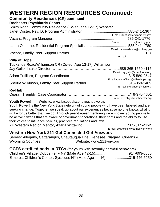# **Community Residences (CR) continued**

#### **Rochester Psychiatric Center**

| Smith Road Community Residence (Co-ed, age 12-17) Webster |         |                                  |
|-----------------------------------------------------------|---------|----------------------------------|
|                                                           |         |                                  |
|                                                           |         | E-mail: janet.coster@omh.ny.gov  |
|                                                           |         |                                  |
|                                                           |         | E-mail: @omh.ny.gov              |
|                                                           |         |                                  |
|                                                           |         | E-mail: laura.osborne@omh.ny.gov |
|                                                           |         |                                  |
|                                                           | E-mail: |                                  |

#### **Villa of Hope**

| Tuckahoe Road/Williamson CR (Co-ed, Age 13-17) Williamson |                                      |
|-----------------------------------------------------------|--------------------------------------|
|                                                           |                                      |
|                                                           | E-mail: jay.gullo@villaofhope.org    |
|                                                           |                                      |
|                                                           | Email adam.tufillaro@villaofhope.org |
|                                                           |                                      |
|                                                           | E-mail: swilkinson@f lpn.org         |

#### **Re-Hab**

| E-mail: ctrembly@rehabcenter.org |
|----------------------------------|

**Youth Power!** Website: [www.facebook.com/youthpower.ny](http://www.facebook.com/youthpower.ny)

Youth Power! is the New York State network of young people who have been labeled and are seeking change. Together we speak up about our experiences because no one knows what it is like for us better than we do. Through peer-to-peer mentoring we empower young people to be active citizens that are aware of government operations, their rights and the ability to use their voices to influence policies, practices regulations and laws. YP Western Region Mentor, Azaria Wittekind……………...........................585-314-2452

E-mail: awittekind@youthpowerny.org

**Western New York 211 Get Connected Get Answers**

Serves: Allegany, Cattaraugus, Chautauqua Erie, Genesee, Niagara, Orleans & Wyoming Counties Website: [www.211wny.org](http://www.211wny.org/)

**OCFS certified beds in RTCs** (for youth with sexually harmful behaviors) Children's Village, Dobbs Ferry NY (Male Age 12-15).................................914-693-0600 Elmcrest Children's Center, Syracuse NY (Male Age 11-16).......................315-446-6250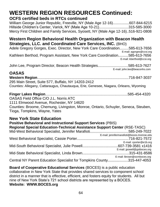# **WESTERN REGION RESOURCES Continued: OCFS certified beds in RTCs continued**

William George Junior Republic, Freeville, NY (Male Age 12-16)................607-844-6215 Hillside Children's Center, Varick, NY (Male Age 10-21).............................315-585-3000 Mercy First Children and Family Services, Syosett, NY (Male Age 12-16)..516-921-0808

## **Western Region Behavioral Health Organization with Beacon Health Strategies, LLC. and Coordinated Care Services, INC.** (BHO)

Adele Gregory Gorges, Exec. Director, New York Care Coordination.........585-613-7656 E-mail: [agorges@ccsi.org](mailto:agorges@ccsi.org) Kathleen Berthod, Program Assistant, New York Care Coordination..........585-613-7656 E-mail: kberthod@ccsi.org

John Lee, Program Director, Beacon Health Strategies..............................585-613-7627 E-mail: [john.lee@beaconhs.com](mailto:john.lee@beaconhs.com)

# **OASAS**

**Western Region**..........................................................................................716-847-3037 295 Main Street, Suite 577, Buffalo, NY 14203-2412 Counties: Allegany, Cattaraugus, Chautauqua, Erie, Genesee, Niagara, Orleans, Wyoming

# **Finger Lakes Region**.................................................................................585-454-4320

OASAS Field Office C/O J.L. Norris ATC

1111 Elmwood Avenue, Rochester, NY 14620

Counties: Broome, Chemung, Livingston, Monroe, Ontario, Schuyler, Seneca, Steuben, Tioga, Tompkins, Wayne, Yates

# **New York State Education**

| <b>Positive Behavioral and Instructional Support Services (PBIS)</b>             |                                            |  |
|----------------------------------------------------------------------------------|--------------------------------------------|--|
| <b>Regional Special Education-Technical Assistance Support Center (RSE-TASC)</b> |                                            |  |
|                                                                                  |                                            |  |
|                                                                                  | E-mail: jennifermarafioti@boces.monroe.edu |  |
|                                                                                  |                                            |  |
|                                                                                  | E-mail: cporter@e1b.org                    |  |
|                                                                                  |                                            |  |
|                                                                                  | E-mail: jpowell@gstboces.org               |  |
|                                                                                  |                                            |  |
|                                                                                  | E-mail: lbrown@ocmboces.org                |  |
| Central NY Parent Education Specialist for Tompkins County315-447-4053           |                                            |  |

**Board of Cooperative Educational Services** (BOCES) is a public education collaborative in New York State that provides shared services to component school district in a manner that is effective, efficient, and fosters equity for students. All but nine of New York State's 721 school districts are represented by a BOCES. **Website: WWW.BOCES.org**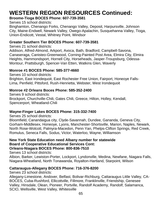#### **[Broome-Tioga BOCES](http://www.btboces.org/) Phone: 607-739-3581**

Serves [15 s](http://ces.37j32b1.remote.schoolcenter.com/education/components/scrapbook/default.php?sectiondetailid=1060)chool districts:

Binghamton, Chenango Forks, Chenango Valley, Deposit, Harpursville, Johnson City, Maine-Endwell, Newark Valley, Owego-Apalachin, Susquehanna Valley, Tioga, Union-Endicott, Vestal, Whitney Point, Windsor

#### **Greater Southern Tier BOCES Phone: 607-739-3581**

Serves 21 school districts:

Addison, Alfred-Almond, Arkport, Avoca, Bath, Bradford, Campbell-Savona, Canaseraga, Canisteo-Greenwood, Corning-Painted Post Area, Elmira City, Elmira Heights, Hammondsport, Hornell City, Horseheads, Jasper-Troupsburg, Odessa-Montour, Prattsburgh, Spencer-Van Etten, Watkins Glen, Waverly

#### **Monroe #1 BOCES Phone: 585-377-4660**

Serves 10 school districts: Brighton, East Irondequoit, East Rochester Free Union, Fairport, Honeoye Falls-Lima, Penfield, Pittsford, Rush-Henrietta, Webster, West Irondequoit

#### **Monroe #2 Orleans Boces Phone: 585-352-2400**

Serves 9 school districts: Brockport, Churchville-Chili, Gates Chili, Greece, Hilton, Holley, Kendall, Spencerport, Wheatland-Chili

#### **Wayne-Finger Lakes BOCES Phone: 315-332-7400**

Serves 25 school districts:

Bloomfield, Canandaigua city, Clyde-Savannah, Dundee, Gananda, Geneva City, Gorham-Middlesex, Honeoye, Lyons, Manchester-Shortsville, Marion, Naples, Newark, North Rose-Wolcott, Palmyra-Macedon, Penn Yan, Phelps-Clifton Springs, Red Creek, Romulus, Seneca Falls, Sodus, Victor, Waterloo, Wayne, Williamson

#### **New York State Education need Albany number for statewide Board of Cooperative Educational Services Cont: Orleans-Niagara BOCES Phone: 800-836-7510**

Serves 13 school districts:

Albion, Barker, Lewiston-Porter, Lockport, Lyndonville, Medina, Newfane, Niagara Falls, Niagara-Wheatland, North Tonawanda, Royalton-Hartland, Starpoint, Wilson

# **Cattaraugus-Allegany BOCES Phone: 716-376-8200**

Serves 23 school districts:

Allegany-Limestone, Andover, Belfast, Bolivar-Richburg, Cattaraugus Little Valley, CA-BOCES, Cuba-Rushford, Ellicottville, Fillmore, Franklinville, Friendship, Genesee Valley, Hinsdale, Olean, Pioneer, Portville, Randolf Academy, Randolf, Salamanca, SCIO, Wellsville, West Valley, Whitesville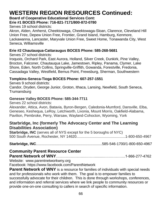#### **Board of Cooperative Educational Services Cont:**

#### **Erie #1 BOCES Phone: 716-821-7171/800-872-0780**

Serves 19 school districts:

Akron, Alden, Amherst, Cheektowaga, Cheektowaga-Sloan, Clarence, Cleveland Hill Union Free, Depew Union Free, Frontier, Grand Island, Hamburg, Kenmore, Lackawanna, Lancaster, Maryvale Union Free, Sweet Home, Tonawanda City, West Seneca, Williamsville

#### **Erie #2 Chautauqua-Cattaraugus BOCES Phone: 585-268-5681**

Serves 27 school districts:

Iroquois, Orchard Park, East Aurora, Holland, Silver Creek, Dunkirk, Pine Valley, Brocton, Falconer, Chautauqua Lake, Jamestown, Ripley, Panama, Clymer, Lake Shore, Eden, North Collins, Springville-Griffith, Gowanda, Forestville, Fredonia, Cassadaga Valley, Westfield, Bemus Point, Frewsburg, Sherman, Southwestern

#### **Tompkins-Seneca-Tioga BOCES Phone: 607-257-1551**

Serves 9 school districts:

Candor, Dryden, George Junior, Groton, Ithaca, Lansing, Newfield, South Seneca, Trumansburg

#### **Genesee Valley BOCES Phone: 585-344-7711**

Serves 22 school districts:

Alexander, Attica, Avon, Batavia, Byron-Bergen, Caledonia-Mumford, Dansville, Elba, Geneseo, Keshequa, LeRoy, Letchworth, Livonia, Mount Morris, Oakfield-Alabama, Pavilion, Pembroke, Perry, Warsaw, Wayland-Cohocton, Wyoming, York

# **Starbridge, Inc (formerly The Advocacy Center and The Learning Disabilities Association)**

**Starbridge, INC** (serves all of NYS except for the 5 boroughs of NYC) 500 South Avenue, Rochester, NY 14620................................................1-800-650-4967

#### **Starbridge, INC**.................................................................585-546-1700/1-800-650-4967

# **Community Parent Resource Center**

**Parent Network of WNY**…………………..……….........…….………..1-866-277-4762

Website: www.parentnetworkwny.org

Facebook: https://www.facebook.com/ParentNetwork

**Parent Network of WNY** is a resource for families of individuals with special needs and for professionals who work with them. The goal is to empower families to successfully advocate for their children. This is done through workshops, conferences, and information and referral services where we link people to community resources or provide one-on-one consulting to callers in search of specific information.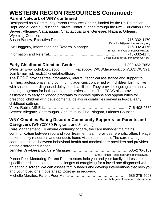#### **Parent Network of WNY continued**

Designated as a Community Parent Resource Center, funded by the US Education Dept. and a Special Education Parent Center, funded through the NYS Education Dept. Serves: Allegany, Cattaraugus, Chautauqua, Erie, Genesee, Niagara, Orleans, Wyoming Counties Susan Barlow, Executive Director….……...…………..…............................716-332-4170 E-mail: [srb@parentnetworkwny.org](mailto:srb@parentnetworkwny.org) Lyn Haggerty, Information and Referral Manager…......….………..……….716-332-4176 E-mail: lmh@parentnetworkwny.org Information and Referral…………………......…...….……....……….............716-332-4175

E-mail: support@parentnetworkwny.org

#### **Early Childhood Direction Center**……..…………….…….……….1-800-462-7653 Website: [www.wchob.org/ecdc](http://www.wchob.org/ecdc) Facebook: [WWW.facebook.com/ECDCWNY1](http://www.facebook.com/ECDCWNY1) Join E-mail list: ecdc@kaleidahealth.org

The **ECDC** provides free information, referral, technical assistance and support to families, professionals, and community agencies concerned with children birth to five with suspected or diagnosed delays or disabilities. They provide ongoing community training programs for both parents and professionals. The ECDC also provides assistance to early childhood programs to improve options and opportunities for preschool children with developmental delays or disabilities served in typical early childhood settings.

Vickie Rubin, MS.Ed………….…………………….…………..…………...…..716-408-2589 Serves: Allegany, Cattaraugus, Chautauqua, Erie, Niagara, Orleans Counties

# **WNY Counties Eating Disorder Community Supports for Parents and**

**Caregivers** (WNYCCCED Programs and Services)

Care Management: To ensure continuity of care, the care manager maintains communication between you and your treatment team, provides referrals, offers linkage to community resources and conducts home visits (as needed). The care manager coordinates roles between behavioral health and medical care providers and provides eating disorder education.

Jennifer Dry–Desanto, Care Manager…………………………………………585-276-6102

Email: jennifer\_desanto@urmc.rochester.edu

Parent Peer Mentoring: Parent Peer mentors help you and your family address the specific needs, concerns and challenges of caregiving for a loved one diagnosed with an eating disorder. We can assess family needs and develop interventions that help you and your loved one move ahead together in recovery. Michelle Morales, Parent Peer Mentor………………………………………...585-275-5693

Email: michelle\_morales@urmc.rochester.edu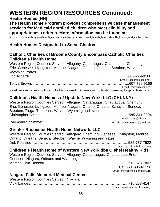# **Health Homes (HH)**

#### **The Health Home Program provides comprehensive case management services for Medicaid enrolled children who meet eligibility and appropriateness criteria. More information can be found at:**

https://www.health.ny.gov/health\_care/medicaid/program/medicaid\_health\_homes/health\_homes\_and\_chilfren.htm

# **Health Homes Designated to Serve Children**

## **Catholic Charities of Broome County Encompass Catholic Charities Children's Health Home**

Western Region Counties Served: Allegany, Cattaraugus, Chautauqua, Chemung, Erie, Genesee, Livingston, Monroe, Niagara, Ontario, Orleans, Steuben, Wayne, Wyoming, Yates Lori Accardi………………………………………............................................607-729-9166 Email: laccardi@ccbc.net Tonya Brown……………………………………………………………………...607-729-9166

Email: tbrown@ccbc.net Readiness Activities Continuing, Not Authorized to Operate in: Schuyler, Seneca, Tioga & Tompkins

# **Children's Health Homes of Upstate New York, LLC (CHUNNY)**

Western Region Counties Served: Allegany, Cattaraugus, Chautauqua, Chemung, Erie, Genesee, Livingston, Monroe, Niagara, Ontario, Orleans, Schuyler, Seneca, Steuben, Tioga, Tompkins, Wayne, Wyoming and Yates Christopher Bell…………………………………………………………………..585-341-2204 Email: cbell@hhuny.org Raymond Schimmer…………………………………………………….Email: rschimmer670@gmail.com

# **Greater Rochester Health Home Network, LLC**

Western Region Counties Served: Allegany, Chemung, Genesee, Livingston, Monroe, Ontario, Orleans, Seneca, Steuben, Wayne, Wyoming and Yates Deb Peartree……………………………………………………………………..585-737-7522

Email: dpeartree@therihn.org

# **Children's Health Home of Western New York dba Oishei Healthy Kids**

Western Region Counties Served: Allegany, Cattauraugus, Chautauqua, Erie, Genesee, Niagara, Orleans and Wyoming Momba Chia-Director……………………………………………………………716)878-7807

 Cell: (716)359-2390 Email: mchia@kaleidahealth.org

# **Niagara Falls Memorial Medical Center**

Western Region Counties Served: Niagara Vicki Landes……………………………………………………………………...716-278-4147

Email: vicki.landes@nfmmc.org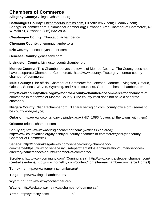# **Chambers of Commerce**

**Allegany County:** Alleganychamber.org

**Cattaraugus County:** EnchantedMountains.com, EllicottvilleNY.com; OleanNY.com; SpringvilleChamber.com; SalamancaChamber.org; Gowanda Area Chamber-of Commerce, 49 W Main St, Gowanda (716) 532-2834

**Chautauqua County:** Chautauquachamber.org

**Chemung County:** chemungchamber.org

**Erie County:** eriecountychamber.com

**Genesee County:** geneseeny.com

**Livingston County:** Livingstoncountychamber.org

**Monroe County:** (This Chamber serves the towns of Monroe County. The County does not have a separate Chamber of Commerce). http://www.countyoffice.orgny-monroe-countychamber-of-commerce/

**Multi County:** (The official Chamber of Commerce for Genesee, Monroe, Livingston, Ontario, Orleans, Seneca, Wayne, Wyoming, and Yates counties). Greaterrochesterchamber.com

**http://www.countyoffice.org/ny-monroe-county-chamber-of-commerce/**for chambers of commerce in the towns of Monroe County. (The county itself does not have a separate chamber)

**Niagara County:** Niagarachamber.org; Niagarariverregion.com; county office.org (seems to be county wide,maybe)

**Ontario:** http://www.co.ontario.ny.us/index.aspx?NID=1086 (covers all the towns with them)

**Orleans:** orleanschamber.com

**Schuyler;** http://www.watkinsglenchamber.com/ (watkins Glen area); http://www.countyoffice.org/ny-schuyler-county-chamber-of-commerce/(schuyler county Chamber of Commerce)

**Seneca:** http://fingerlakesgateway.com/seneca-county-chamber-ofcommerce/https://www.co.seneca.ny.us/departments/dhs-administration/human-servicesdirectory/name/seneca-county-chamber-of-commerce/

**Steuben:** http://www.corningny.com/ (Corning area); http://www.centralsteubenchamber.com/ (central steuben); http://www.hornellny.com/content/hornell-area-chamber-commerce Hornell)

**Tompkins:** http://www.tompkinschamber.org/

**Tioga:** http://www.tiogachamber.com/

**Wyoming:** http://www.wycochamber.org/

**Wayne:** http://web.co.wayne.ny.us/chamber-of-commerce/

**Yates:** http://yatesny.com/ 69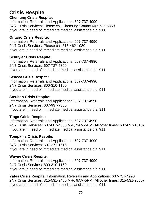# **Crisis Respite**

#### **Chemung Crisis Respite:**

Information, Referrals and Applications: 607-737-4990 24/7 Crisis Services: Please call Chemung County 607-737-5369 If you are in need of immediate medical assistance dial 911

#### **Ontario Crisis Respite:**

Information, Referrals and Applications: 607-737-4990 24/7 Crisis Services: Please call 315-462-1080 If you are in need of immediate medical assistance dial 911

#### **Schuyler Crisis Respite:**

Information, Referrals and Applications: 607-737-4990 24/7 Crisis Services: 607-737-5369 If you are in need of immediate medical assistance dial 911

#### **Seneca Crisis Respite:**

Information, Referrals and Applications: 607-737-4990 24/7 Crisis Services: 800-310-1160 If you are in need of immediate medical assistance dial 911

#### **Steuben Crisis Respite:**

Information, Referrals and Applications: 607-737-4990 24/7 Crisis Services: 607-937-7800 If you are in need of immediate medical assistance dial 911

#### **Tioga Crisis Respite:**

Information, Referrals and Applications: 607-737-4990 24/7 Crisis Services: 607-687-4000 M-F, 9AM-5PM (All other times: 607-697-1010) If you are in need of immediate medical assistance dial 911

#### **Tompkins Crisis Respite:**

Information, Referrals and Applications: 607-737-4990 24/7 Crisis Services: 607-272-1616 If you are in need of immediate medical assistance dial 911

#### **Wayne Crisis Respite:**

Information, Referrals and Applications: 607-737-4990 24/7 Crisis Services: 800-310-1160 If you are in need of immediate medical assistance dial 911

**Yates Crisis Respite:** Information, Referrals and Applications: 607-737-4990 24/7 Crisis Services: 315-531-2400 M-F, 9AM-5PM (All other times: 315-531-2000) If you are in need of immediate medical assistance dial 911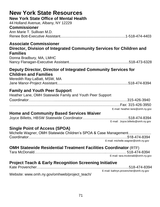| <b>New York State Resources</b><br><b>New York State Office of Mental Health</b><br>44 Holland Avenue, Albany, NY 12229<br><b>Commissioner</b><br>Ann Marie T. Sullivan M.D. |                                                                      |
|------------------------------------------------------------------------------------------------------------------------------------------------------------------------------|----------------------------------------------------------------------|
| <b>Associate Commissioner</b><br>Director, Division of Integrated Community Services for Children and<br><b>Families</b><br>Donna Bradbury, MA, LMHC                         |                                                                      |
| Deputy Director, Director of Integrated Community Services for<br><b>Children and Families</b><br>Meredith Ray-LaBatt, MSW, MA                                               |                                                                      |
| <b>Family and Youth Peer Support</b><br>Heather Lane, OMH Statewide Family and Youth Peer Support                                                                            |                                                                      |
| <b>Home and Community Based Services Waiver</b>                                                                                                                              | E-mail: heather.lane@omh.ny.gov<br>E-mail: Joyce.billetts@omh.ny.gov |
| <b>Single Point of Access (SPOA)</b><br>Michelle Wagner, OMH Statewide Children's SPOA & Case Management                                                                     | E-mail: michelle.wagner@omh.ny.gov                                   |
| <b>OMH Statewide Residential Treatment Facilities Coordinator (RTF)</b>                                                                                                      | E-mail: tara.mcdonald@omh.ny.gov                                     |
| <b>Project Teach &amp; Early Recognition Screening Initiative</b>                                                                                                            | E-mail: kathryn.provencher@omh.ny.gov                                |

Website: [www.omh.ny.gov/omhweb/project\\_teach/](http://www.omh.ny.gov/omhweb/project_teach/)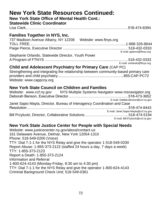# **New York State Resources Continued:**

## **New York State Office of Mental Health Cont.:**

# **Statewide Clinic Coordinator**

Lisa Clark…………………………………………………………………………518-474-8394

# **Families Together in NYS, Inc.**

737 Madison Avenue Albany, NY 12208 Website: [www.ftnys.org](http://www.ftnys.org/) TOLL FREE...……………………………………………………………….....1-888-326-8644 Paige Pierce, Executive Director ..............................……………............... 518-432-0333 E-mail: [ppierce@ftnys.org](mailto:ppierce@ftnys.org)

# Stephanie Orlando, Statewide Director, Youth Power

A Program of FTNYS …………………………………………................…….518-432-0333 E-mail: [sorlando@ftnys.org](mailto:sorlando@ftnys.org)

# **Child and Adolescent Psychiatry for Primary Care** (CAP PC)

Strengthening and integrating the relationship between community-based primary care providers and child psychiatry.................................................................855-CAP-PC72 Website: [www.cappcny.org](http://www.cappcny.org/)

# **New York State Council on Children and Families**

| Website: www.ccf.ny.gov                                                  | NYS Multiple Systems Navigator www.msnavigator.org |
|--------------------------------------------------------------------------|----------------------------------------------------|
|                                                                          |                                                    |
|                                                                          | E-mail: Debbie.Benson@ccf.ny.gov                   |
| Janet Sapio Mayta, Director, Bureau of Interagency Coordination and Case |                                                    |
|                                                                          |                                                    |
|                                                                          | E-mail: Janet.Sapio-Mayta@ccf.ny.gov               |
|                                                                          |                                                    |
|                                                                          | E-mail: Bill.Pzylucki@ccf.ny.gov                   |

# **New York State Justice Center for People with Special Needs**

Website: [www.justicecenter.ny.gov/about/contact-us](http://www.justicecenter.ny.gov/about/contact-us) 161 Delaware Avenue, Delmar, New York 12054-1310 Phone: 518-549-0200 (Voice) TTY: Dial 7-1-1 for the NYS Relay and give the operator 1-518-549-0200 Report Abuse: 1-855-373-2122 (staffed 24 hours a day, 7 days a week) TTY: 1-855-373-2123 Report a Death: 1-855-373-2124 Information and Referral 1-800-624-4143 (Monday-Friday, 8:30 am to 4:30 pm) TTY: Dial 7-1-1 for the NYS Relay and give the operator 1-800-624-4143 Criminal Background Check Unit; 518-549-0361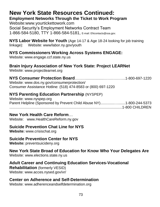# **New York State Resources Continued:**

**Employment Networks Through the Ticket to Work Program**

Website:www.yourtickettowork.com Social Security's Employment Networks Contract Team 1-866-584-5180, TTY 1-866-584-5181, E-mail: ENcontacts@ssa.gov.

**NYS Labor Website for Youth** (Age 14-17 & Age 18-24 looking for job training linkage): Website: www/labor.ny.gov/youth

## **NYS Commissioners Working Across Systems ENGAGE:**

Website: [www.engage.ccf.state.ny.us](http://www.engage.ccf.state.ny.us/)

## **Brain Injury Association of New York State: Project LEARNet**

Website: [www.projectlearnet.org](http://www.projectlearnet.org/)

## **NYS Consumer Protection Board**……….................…….………..1-800-697-1220

Website: www.dos.ny.gov/consumerprotection/ Consumer Assistance Hotline: (518) 474-8583 or (800) 697-1220

## **NYS Parenting Education Partnership** (NYSPEP)

Website: [www.nyspep.org](http://www.nyspep.org/) Parent Helpline (Sponsored by Prevent Child Abuse NY)..............….......1-800-244-5373 ...............................................................................................................1-800 CHILDREN

## **New York Health Care Reform**…

Website: www.HealthCareReform.ny.gov

## **Suicide Prevention Chat Line for NYS**

**Website:** [www.crisischat.org](http://www.crisischat.org/)

## **Suicide Prevention Center for NYS**

**Website:** preventsuicideny.org

## **New York State Broad of Education for Know Who Your Delegates Are**

Website: www.elections.state.ny.us

## **Adult Career and Continuing Education Services-Vocational**

**Rehabilitation** (formerly VESID) Website: www.acces.nysed.gov/vr/

## **Center on Adherence and Self-Determination**

Website: [www.adherenceandselfdetermination.org](http://www.adherenceandselfdetermination.org/)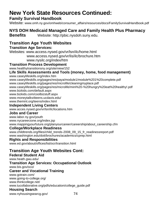## **New York State Resources Continued:**

## **Family Survival Handbook**

Website: [www.omh.ny.gov/omhweb/consumer\\_affairs/resources/docs/FamilySurvivalHandbook.pdf](http://www.omh.ny.gov/omhweb/consumer_affairs/resources/docs/FamilySurvivalHandbook.pdf)

## **NYS DOH Medicaid Managed Care and Family Health Plus Pharmacy**

**Benefits** Website: [http://pbic.nysdoh.suny.edu.](http://pbic.nysdoh.suny.edu/)

## **Transition Age Youth Websites**

#### **Transition Age Services:**

Websites: [www.access.nysed.gov/vr/lsn/ilc/home.html](http://www.access.nysed.gov/vr/lsn/ilc/home.html) www.access.nysed.gov/vr/lis/ilc/brochure.htm

[www.nysilc.org/index/htm](http://www.nysilc.org/index/htm)

#### **Transition Process Development**

www.healthytransitionsny.org/site/view/152

#### **Life Skills Assessments and Tools (money, home, food management)**

[www.caseylifeskills.org/index.htm](http://www.caseylifeskills.org/index.htm)

[www.caseylifeskills.org/pages/res/paya/module1/module%201%20complete.pdf](http://www.caseylifeskills.org/pages/res/paya/module1/module%201%20complete.pdf)

[www.caseylifeskills.org/pages/res/microlife/cleaningmyplace.pdf](http://www.caseylifeskills.org/pages/res/microlife/cleaningmyplace.pdf)

[www.caseylifeskills.org/pages/res/microlife/mini%20-%20hungry%20eat%20healthy!.pdf](http://www.caseylifeskills.org/pages/res/microlife/mini%20-%20hungry%20eat%20healthy!.pdf) [www.bizkids.com/default.aspx](http://www.bizkids.com/default.aspx)

[www.bizkids.com/coolbizstuff.aspx](http://www.bizkids.com/coolbizstuff.aspx)

[www.moneytalks4teens.ucdavis.edu/](http://www.moneytalks4teens.ucdavis.edu/)

[www.themint.org/teens/index.html](http://www.themint.org/teens/index.html)

#### **Independent Living Centers**

[www.acces.nysed.gov/vr/lsn/ilc/locations.htm](http://www.acces.nysed.gov/vr/lsn/ilc/locations.htm)

#### **Jobs and Career**

www.labor.ny.gov/youth [www.nycareerzone.org/index.jsp](http://www.nycareerzone.org/index.jsp) [www.mappingyourfuture.org/planyourcareer/careership/about\\_careership.cfm](http://www.mappingyourfuture.org/planyourcareer/careership/about_careership.cfm)

#### **College/Workplace Readiness**

[www.childtrends.org/files/child\\_trends-2008\\_09\\_15\\_fr\\_readinessreport.pdf](http://www.childtrends.org/files/child_trends-2008_09_15_fr_readinessreport.pdf) [www.washington.edu/doit/brochures/academics/cprep.html](http://www.washington.edu/doit/brochures/academics/cprep.html)

#### **Rights and Responsibilities**

[www.ed.gov/about/offices/list/ocr/transition.html](http://www.ed.gov/about/offices/list/ocr/transition.html)

## **Transition Age Youth Websites Cont:**

**Federal Student Aid**

[www.heath.gwu.edu/](http://www.heath.gwu.edu/)

#### **Transition Age Services: Occupational Outlook**

[www.bis.gov/oco/](http://www.bis.gov/oco/)

#### **Career and Vocational Training**

[www.gotrain.com/](http://www.gotrain.com/) [www.going-to-college.org/](http://www.going-to-college.org/) [www.thinkcollege.net/](http://www.thinkcollege.net/) www.tucollaborative.org/pdfs/education/college\_guide.pdf

## **Housing Search**

[www.nyhousingsearcg.gov/](http://www.nyhousingsearcg.gov/) 74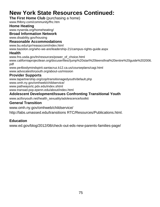## **New York State Resources Continued:**

#### **The First Home Club** (purchasing a home)

[www.fhlbny.com/community/fhc.htm](http://www.fhlbny.com/community/fhc.htm)

#### **Home Heating**

www.nyserda.org/homeheating/

### **Broad Information Network**

[www.disability.gov/housing](http://www.disability.gov/housing)

#### **Reasonable Accommodations**

[www.bu.edu/cpr/reasaccom/index.html](http://www.bu.edu/cpr/reasaccom/index.html)

www.bazelon.org/who-we-are/leadership-21/campus-rights-guide.aspx

#### **Health**

www.fns.usda.gov/tn/resources/power\_of\_choice.html

[www.californiaprojectlean.org/docuserfiles//jump%20start%20teensfinal%20entire%20guide%202006.](http://www.californiaprojectlean.org/docuserfiles/jump%20start%20teensfinal%20entire%20guide%202006.pdf) [pdf](http://www.californiaprojectlean.org/docuserfiles/jump%20start%20teensfinal%20entire%20guide%202006.pdf)

[www.pe4bodymindspirit.santacruz.k12.ca.us/courseplans/cagi.html](http://www.pe4bodymindspirit.santacruz.k12.ca.us/courseplans/cagi.html) [www.advocatesforyouth.org/about-us/mission](http://www.advocatesforyouth.org/about-us/mission)

#### **Provider Supports**

[www.tapartnership.org/cop/transitionagedyouth/default.php](http://www.tapartnership.org/cop/transitionagedyouth/default.php) [www.omh.ny.gov/omhweb/childservice/](http://www.omh.ny.gov/omhweb/childservice/) [www.pathwaysrtc.pdx.edu/index.shtml](http://www.pathwaysrtc.pdx.edu/index.shtml) [www.transad.pop.epenn.edu/about/index.html](http://www.transad.pop.epenn.edu/about/index.html)

#### **Adolescent Development/Issues Confronting Transitional Youth**

[www.actforyouth.net/health\\_sexuality/adolescence/toolkit](http://www.actforyouth.net/health_sexuality/adolescence/toolkit)

#### **General Transition**

[www.omh.ny.gov/omhweb/childservice/](http://www.omh.ny.gov/omhweb/childservice/)

<http://labs.umassed.edu/transitions> RTC/Resources/Publications.html.

#### **Education**

www.ed.gov/blog/2012/08/check-out-eds-new-parents-families-page/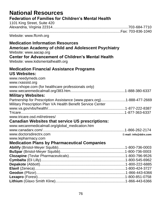| <b>National Resources</b><br><b>Federation of Families for Children's Mental Health</b><br>1101 King Street, Suite 420                                                                                                     |                       |
|----------------------------------------------------------------------------------------------------------------------------------------------------------------------------------------------------------------------------|-----------------------|
| Website: www.ffcmh.org                                                                                                                                                                                                     |                       |
| <b>Medication Information Resources</b><br>American Academy of child and Adolescent Psychiatry<br>Website: www.aacap.org<br><b>Center for Advancement of Children's Mental Health</b><br>Website: www.kidsmentalhealth.org |                       |
| <b>Medication Financial Assistance Programs</b><br><b>US Websites:</b><br>www.needymeds.com<br>www.rxassist.org<br>www.rxhope.com (for healthcare professionals only)<br><b>Military Websites:</b>                         |                       |
| Partnership for Prescription Assistance (www.pparx.org)1-888-477-2669<br>Military Prescription Plan VA Health Benefit Service Center<br>www.tricare.osd.mil/retirees/                                                      |                       |
| <b>Canadian Websites that service US prescriptions:</b>                                                                                                                                                                    |                       |
| www.wecaremedicalmall.org/global_medication.htm<br>www.doctorsdirectrx.com<br>www.lepharmacy.com                                                                                                                           | E-mail: info@ddrx.com |
| <b>Medication Plans by Pharmaceutical Companies</b>                                                                                                                                                                        |                       |
|                                                                                                                                                                                                                            |                       |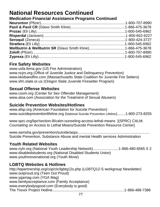## **National Resources Continued**

## **Medication Financial Assistance Programs Continued**

## **Fire Safety Websites**

[www.usfa.fema.gov](http://www.usfa.fema.gov/) (US Fire Administration) [www.ncjrs.org](http://www.ncjrs.org/) (Office of Juvenile Justice and Delinquency Prevention) [www.kkidsandfire.com](http://www.kkidsandfire.com/) (Massachusetts State Coalition for Juvenile Fire Setters) [www.sfm.state.or.us](http://www.sfm.state.or.us/) (Oregon State Juvenile Firesetter Program)

## **Sexual Offense Websites**

[www.csom.org](http://www.csom.org/) (Center for Sex Offender Management) [www.atsa.com](http://www.atsa.com/) (Association for the Treatment of Sexual Abusers)

## **Suicide Prevention Websites/Hotlines**

[www.afsp.org](http://www.afsp.org/) (American Foundation for Suicide Prevention) [www.suicidepreventionlifeline.org](http://www.suicidepreventionlifeline.org/) (National Suicide Prevention Lifeline)........1-800-273-8255

www.sprc.org/bpr/section-lll/calm-ounseling-access-lethal-means [(SPRC) CALM: Counseling on Access to Lethal Means/Suicide Prevention Resource Center]

[www.samsha.gov/prevention/suicide/aspx......................................................................](http://www.samsha.gov/prevention/suicide/aspx......................................................................Suicide) [Suicide](http://www.samsha.gov/prevention/suicide/aspx......................................................................Suicide) Prevention, Substance Abuse and mental Health services Administration

## **Youth Related Websites**

[www.nyln.org](http://www.nyln.org/) (National Youth Leadership Network).........................1-866-480-6565 X 2 [www.disabledstudents.org](http://www.disabledstudents.org/) (National Disabled Students Union) [www.youthmovenational.org](http://www.youthmovenational.org/) (Youth Move)

## **LGBTQ Websites & Hotlines**

<http://tapartnership.org/cop/clc/lgbtq12s.php> (LGBTQ12-S workgroup Newsletter) [www.outproud.org](http://www.outproud.org/) (Teen Out Proud) [www.ygamag.com](http://www.ygamag.com/) (YGA Mag) [www.familyacceptance.com](http://www.familyacceptance.com/) (Family Acceptance) [www.everybodysgood.com](http://www.everybodysgood.com/) (Everybody is good) The Trevor Project Hotline......................................................................1-866-488-7386